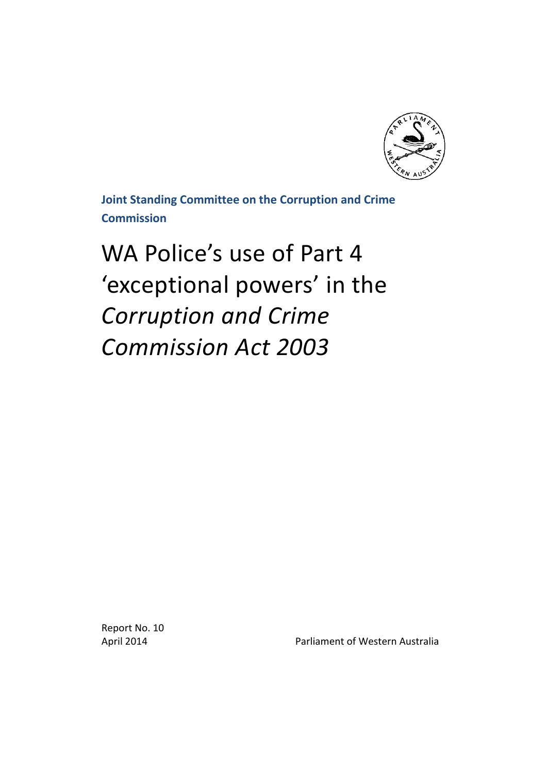

**Joint Standing Committee on the Corruption and Crime Commission**

# WA Police's use of Part 4 'exceptional powers' in the *Corruption and Crime Commission Act 2003*

<span id="page-0-0"></span>Report No. 10

April 2014 Parliament of Western Australia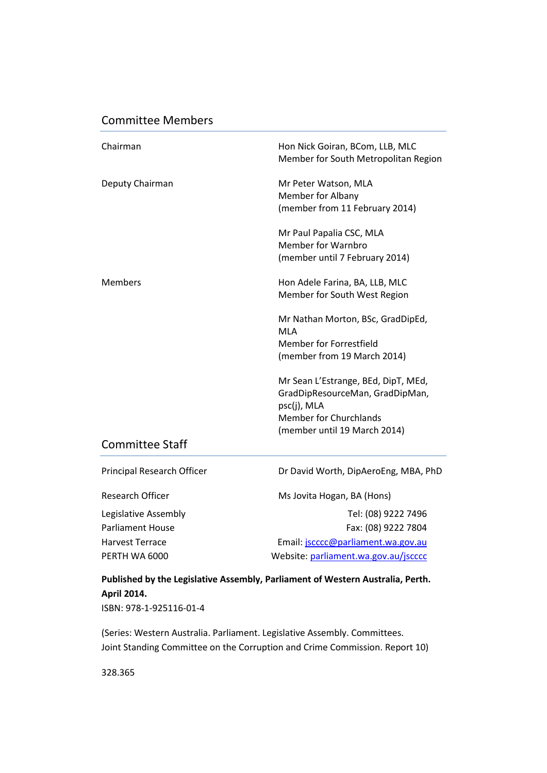## Committee Members

| Chairman                                                                       | Hon Nick Goiran, BCom, LLB, MLC<br>Member for South Metropolitan Region                 |  |  |
|--------------------------------------------------------------------------------|-----------------------------------------------------------------------------------------|--|--|
| Deputy Chairman                                                                | Mr Peter Watson, MLA<br>Member for Albany<br>(member from 11 February 2014)             |  |  |
|                                                                                | Mr Paul Papalia CSC, MLA<br><b>Member for Warnbro</b><br>(member until 7 February 2014) |  |  |
| <b>Members</b>                                                                 | Hon Adele Farina, BA, LLB, MLC<br>Member for South West Region                          |  |  |
|                                                                                | Mr Nathan Morton, BSc, GradDipEd,<br>MLA                                                |  |  |
|                                                                                | Member for Forrestfield                                                                 |  |  |
|                                                                                | (member from 19 March 2014)                                                             |  |  |
|                                                                                | Mr Sean L'Estrange, BEd, DipT, MEd,<br>GradDipResourceMan, GradDipMan,<br>psc(j), MLA   |  |  |
|                                                                                | Member for Churchlands                                                                  |  |  |
| <b>Committee Staff</b>                                                         | (member until 19 March 2014)                                                            |  |  |
| Principal Research Officer                                                     | Dr David Worth, DipAeroEng, MBA, PhD                                                    |  |  |
| <b>Research Officer</b>                                                        | Ms Jovita Hogan, BA (Hons)                                                              |  |  |
| Legislative Assembly                                                           | Tel: (08) 9222 7496                                                                     |  |  |
| <b>Parliament House</b>                                                        | Fax: (08) 9222 7804                                                                     |  |  |
| <b>Harvest Terrace</b>                                                         | Email: jscccc@parliament.wa.gov.au                                                      |  |  |
| PERTH WA 6000                                                                  | Website: parliament.wa.gov.au/jscccc                                                    |  |  |
| Published by the Legislative Assembly, Parliament of Western Australia, Perth. |                                                                                         |  |  |

**April 2014.**

ISBN: 978-1-925116-01-4

(Series: Western Australia. Parliament. Legislative Assembly. Committees. Joint Standing Committee on the Corruption and Crime Commission. Report 10)

328.365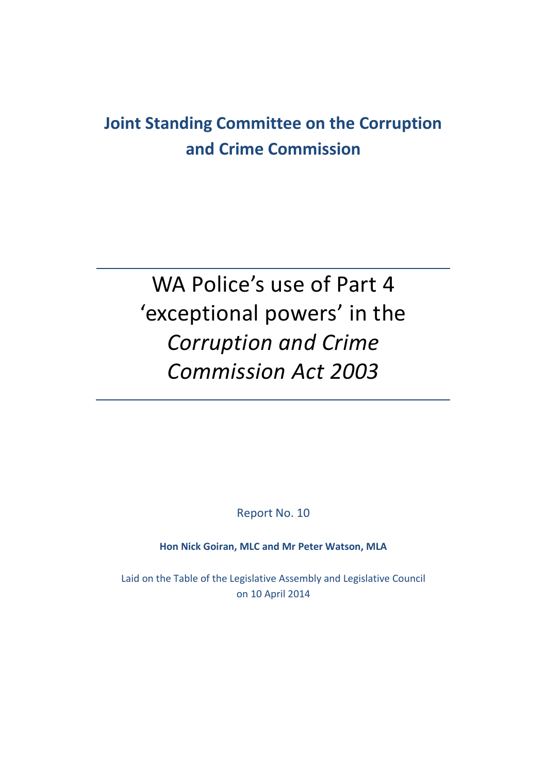# **Joint Standing Committee on the Corruption and Crime Commission**

# WA Police's use of Part 4 'exceptional powers' in the *Corruption and Crime Commission Act 2003*

Report No. 10

**Hon Nick Goiran, MLC and Mr Peter Watson, MLA**

Laid on the Table of the Legislative Assembly and Legislative Council on 10 April 2014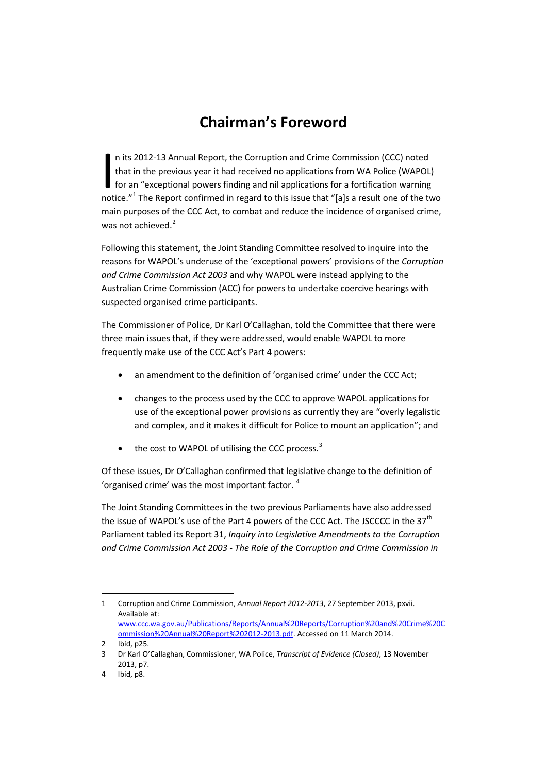# **Chairman's Foreword**

n its 2012-13 Annual Report, the Corruption and Crime Commission (CCC) noted that in the previous year it had received no applications from WA Police (WAPOL) for an "exceptional powers finding and nil applications for a fortification warning n its 20[1](#page-0-0)2-13 Annual Report, the Corruption and Crime Commission (CCC) noted<br>that in the previous year it had received no applications from WA Police (WAPOL)<br>for an "exceptional powers finding and nil applications for a f main purposes of the CCC Act, to combat and reduce the incidence of organised crime, was not achieved.<sup>[2](#page-4-0)</sup>

Following this statement, the Joint Standing Committee resolved to inquire into the reasons for WAPOL's underuse of the 'exceptional powers' provisions of the *Corruption and Crime Commission Act 2003* and why WAPOL were instead applying to the Australian Crime Commission (ACC) for powers to undertake coercive hearings with suspected organised crime participants.

The Commissioner of Police, Dr Karl O'Callaghan, told the Committee that there were three main issues that, if they were addressed, would enable WAPOL to more frequently make use of the CCC Act's Part 4 powers:

- an amendment to the definition of 'organised crime' under the CCC Act;
- changes to the process used by the CCC to approve WAPOL applications for use of the exceptional power provisions as currently they are "overly legalistic and complex, and it makes it difficult for Police to mount an application"; and
- the cost to WAPOL of utilising the CCC process. $3$

Of these issues, Dr O'Callaghan confirmed that legislative change to the definition of 'organised crime' was the most important factor. [4](#page-4-2)

The Joint Standing Committees in the two previous Parliaments have also addressed the issue of WAPOL's use of the Part 4 powers of the CCC Act. The JSCCCC in the  $37<sup>th</sup>$ Parliament tabled its Report 31, *Inquiry into Legislative Amendments to the Corruption and Crime Commission Act 2003 - The Role of the Corruption and Crime Commission in* 

<span id="page-4-3"></span> $\overline{a}$ 1 Corruption and Crime Commission, *Annual Report 2012-2013*, 27 September 2013, pxvii. Available at: [www.ccc.wa.gov.au/Publications/Reports/Annual%20Reports/Corruption%20and%20Crime%20C](http://www.ccc.wa.gov.au/Publications/Reports/Annual%20Reports/Corruption%20and%20Crime%20Commission%20Annual%20Report%202012-2013.pdf) [ommission%20Annual%20Report%202012-2013.pdf.](http://www.ccc.wa.gov.au/Publications/Reports/Annual%20Reports/Corruption%20and%20Crime%20Commission%20Annual%20Report%202012-2013.pdf) Accessed on 11 March 2014.

<sup>2</sup> Ibid, p25.

<span id="page-4-1"></span><span id="page-4-0"></span><sup>3</sup> Dr Karl O'Callaghan, Commissioner, WA Police, *Transcript of Evidence (Closed)*, 13 November 2013, p7.

<span id="page-4-2"></span><sup>4</sup> Ibid, p8.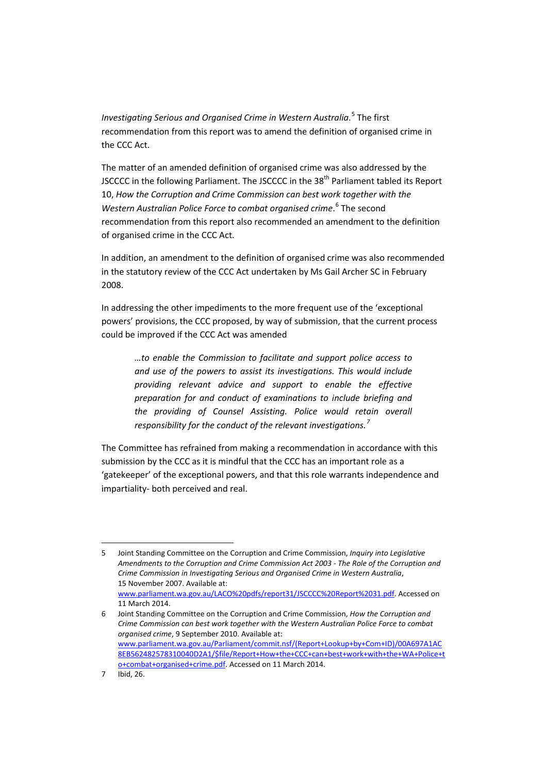*Investigating Serious and Organised Crime in Western Australia*. [5](#page-4-3) The first recommendation from this report was to amend the definition of organised crime in the CCC Act.

The matter of an amended definition of organised crime was also addressed by the JSCCCC in the following Parliament. The JSCCCC in the 38<sup>th</sup> Parliament tabled its Report 10, *How the Corruption and Crime Commission can best work together with the Western Australian Police Force to combat organised crime*. [6](#page-5-0) The second recommendation from this report also recommended an amendment to the definition of organised crime in the CCC Act.

In addition, an amendment to the definition of organised crime was also recommended in the statutory review of the CCC Act undertaken by Ms Gail Archer SC in February 2008.

In addressing the other impediments to the more frequent use of the 'exceptional powers' provisions, the CCC proposed, by way of submission, that the current process could be improved if the CCC Act was amended

*…to enable the Commission to facilitate and support police access to and use of the powers to assist its investigations. This would include providing relevant advice and support to enable the effective preparation for and conduct of examinations to include briefing and the providing of Counsel Assisting. Police would retain overall responsibility for the conduct of the relevant investigations.[7](#page-5-1)*

The Committee has refrained from making a recommendation in accordance with this submission by the CCC as it is mindful that the CCC has an important role as a 'gatekeeper' of the exceptional powers, and that this role warrants independence and impartiality- both perceived and real.

<sup>5</sup> Joint Standing Committee on the Corruption and Crime Commission, *Inquiry into Legislative Amendments to the Corruption and Crime Commission Act 2003 - The Role of the Corruption and Crime Commission in Investigating Serious and Organised Crime in Western Australia*, 15 November 2007. Available at: [www.parliament.wa.gov.au/LACO%20pdfs/report31/JSCCCC%20Report%2031.pdf.](http://www.parliament.wa.gov.au/LACO%20pdfs/report31/JSCCCC%20Report%2031.pdf) Accessed on 11 March 2014.

<span id="page-5-0"></span><sup>6</sup> Joint Standing Committee on the Corruption and Crime Commission, *How the Corruption and Crime Commission can best work together with the Western Australian Police Force to combat organised crime*, 9 September 2010. Available at: [www.parliament.wa.gov.au/Parliament/commit.nsf/\(Report+Lookup+by+Com+ID\)/00A697A1AC](http://www.parliament.wa.gov.au/Parliament/commit.nsf/(Report+Lookup+by+Com+ID)/00A697A1AC8EB562482578310040D2A1/$file/Report+How+the+CCC+can+best+work+with+the+WA+Police+to+combat+organised+crime.pdf) [8EB562482578310040D2A1/\\$file/Report+How+the+CCC+can+best+work+with+the+WA+Police+t](http://www.parliament.wa.gov.au/Parliament/commit.nsf/(Report+Lookup+by+Com+ID)/00A697A1AC8EB562482578310040D2A1/$file/Report+How+the+CCC+can+best+work+with+the+WA+Police+to+combat+organised+crime.pdf) [o+combat+organised+crime.pdf.](http://www.parliament.wa.gov.au/Parliament/commit.nsf/(Report+Lookup+by+Com+ID)/00A697A1AC8EB562482578310040D2A1/$file/Report+How+the+CCC+can+best+work+with+the+WA+Police+to+combat+organised+crime.pdf) Accessed on 11 March 2014.

<span id="page-5-2"></span><span id="page-5-1"></span><sup>7</sup> Ibid, 26.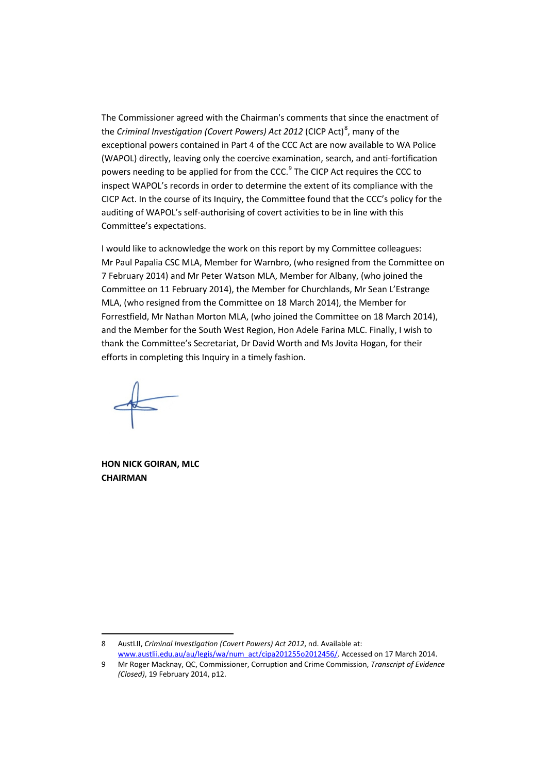The Commissioner agreed with the Chairman's comments that since the enactment of the *Criminal Investigation (Covert Powers) Act 2012* (CICP Act)<sup>[8](#page-5-2)</sup>, many of the exceptional powers contained in Part 4 of the CCC Act are now available to WA Police (WAPOL) directly, leaving only the coercive examination, search, and anti-fortification powers needing to be applied for from the CCC.<sup>[9](#page-6-0)</sup> The CICP Act requires the CCC to inspect WAPOL's records in order to determine the extent of its compliance with the CICP Act. In the course of its Inquiry, the Committee found that the CCC's policy for the auditing of WAPOL's self-authorising of covert activities to be in line with this Committee's expectations.

I would like to acknowledge the work on this report by my Committee colleagues: Mr Paul Papalia CSC MLA, Member for Warnbro, (who resigned from the Committee on 7 February 2014) and Mr Peter Watson MLA, Member for Albany, (who joined the Committee on 11 February 2014), the Member for Churchlands, Mr Sean L'Estrange MLA, (who resigned from the Committee on 18 March 2014), the Member for Forrestfield, Mr Nathan Morton MLA, (who joined the Committee on 18 March 2014), and the Member for the South West Region, Hon Adele Farina MLC. Finally, I wish to thank the Committee's Secretariat, Dr David Worth and Ms Jovita Hogan, for their efforts in completing this Inquiry in a timely fashion.

<span id="page-6-1"></span>**HON NICK GOIRAN, MLC CHAIRMAN**

<sup>8</sup> AustLII, *Criminal Investigation (Covert Powers) Act 2012*, nd. Available at: [www.austlii.edu.au/au/legis/wa/num\\_act/cipa201255o2012456/.](http://www.austlii.edu.au/au/legis/wa/num_act/cipa201255o2012456/) Accessed on 17 March 2014.

<span id="page-6-0"></span><sup>9</sup> Mr Roger Macknay, QC, Commissioner, Corruption and Crime Commission, *Transcript of Evidence (Closed)*, 19 February 2014, p12.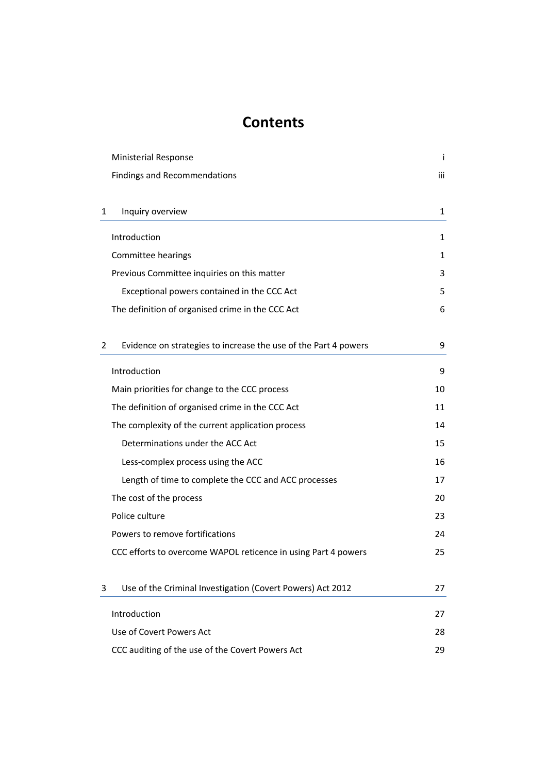# **Contents**

|   | <b>Ministerial Response</b>                                     | Ť   |
|---|-----------------------------------------------------------------|-----|
|   | <b>Findings and Recommendations</b>                             | iii |
|   |                                                                 |     |
| 1 | Inquiry overview                                                | 1   |
|   | Introduction                                                    | 1   |
|   | Committee hearings                                              | 1   |
|   | Previous Committee inquiries on this matter                     | 3   |
|   | Exceptional powers contained in the CCC Act                     | 5   |
|   | The definition of organised crime in the CCC Act                | 6   |
|   |                                                                 |     |
| 2 | Evidence on strategies to increase the use of the Part 4 powers | 9   |
|   | Introduction                                                    | 9   |
|   | Main priorities for change to the CCC process                   | 10  |
|   | The definition of organised crime in the CCC Act                | 11  |
|   | The complexity of the current application process               | 14  |
|   | Determinations under the ACC Act                                | 15  |
|   | Less-complex process using the ACC                              | 16  |
|   | Length of time to complete the CCC and ACC processes            | 17  |
|   | The cost of the process                                         | 20  |
|   | Police culture                                                  | 23  |
|   | Powers to remove fortifications                                 | 24  |
|   | CCC efforts to overcome WAPOL reticence in using Part 4 powers  | 25  |
| 3 | Use of the Criminal Investigation (Covert Powers) Act 2012      | 27  |
|   | Introduction                                                    | 27  |
|   | Use of Covert Powers Act                                        | 28  |
|   | CCC auditing of the use of the Covert Powers Act                | 29  |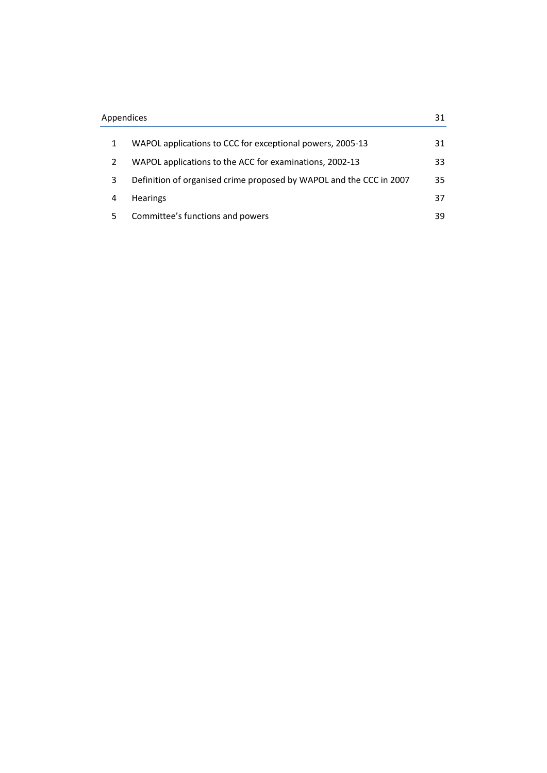## Appendices 31

| $\mathbf{1}$ | WAPOL applications to CCC for exceptional powers, 2005-13           | 31 |
|--------------|---------------------------------------------------------------------|----|
| 2            | WAPOL applications to the ACC for examinations, 2002-13             | 33 |
| 3            | Definition of organised crime proposed by WAPOL and the CCC in 2007 | 35 |
| 4            | <b>Hearings</b>                                                     | 37 |
| 5            | Committee's functions and powers                                    | 39 |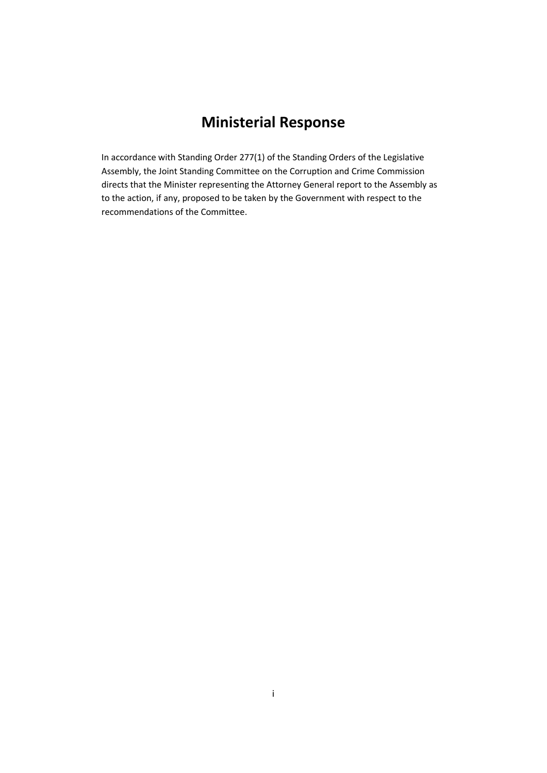# **Ministerial Response**

In accordance with Standing Order 277(1) of the Standing Orders of the Legislative Assembly, the Joint Standing Committee on the Corruption and Crime Commission directs that the Minister representing the Attorney General report to the Assembly as to the action, if any, proposed to be taken by the Government with respect to the recommendations of the Committee.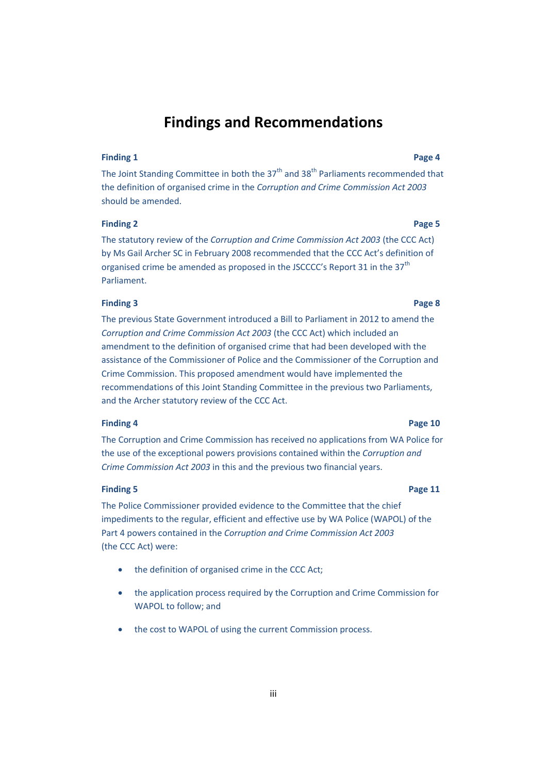# **Findings and Recommendations**

#### **Finding 1 Page [4](#page-19-0)**

The Joint Standing Committee in both the 37<sup>th</sup> and 38<sup>th</sup> Parliaments recommended that the definition of organised crime in the *Corruption and Crime Commission Act 2003* should be amended.

#### **Finding 2 Page [5](#page-20-0)**

The statutory review of the *Corruption and Crime Commission Act 2003* (the CCC Act) by Ms Gail Archer SC in February 2008 recommended that the CCC Act's definition of organised crime be amended as proposed in the JSCCCC's Report 31 in the 37<sup>th</sup> Parliament.

#### **Finding 3 Page [8](#page-23-0)**

The previous State Government introduced a Bill to Parliament in 2012 to amend the *Corruption and Crime Commission Act 2003* (the CCC Act) which included an amendment to the definition of organised crime that had been developed with the assistance of the Commissioner of Police and the Commissioner of the Corruption and Crime Commission. This proposed amendment would have implemented the recommendations of this Joint Standing Committee in the previous two Parliaments, and the Archer statutory review of the CCC Act.

#### **Finding 4 Pag[e 10](#page-25-0)**

The Corruption and Crime Commission has received no applications from WA Police for the use of the exceptional powers provisions contained within the *Corruption and Crime Commission Act 2003* in this and the previous two financial years.

#### **Finding 5 Pag[e 11](#page-26-0)**

The Police Commissioner provided evidence to the Committee that the chief impediments to the regular, efficient and effective use by WA Police (WAPOL) of the Part 4 powers contained in the *Corruption and Crime Commission Act 2003* (the CCC Act) were:

- the definition of organised crime in the CCC Act;
- the application process required by the Corruption and Crime Commission for WAPOL to follow; and
- the cost to WAPOL of using the current Commission process.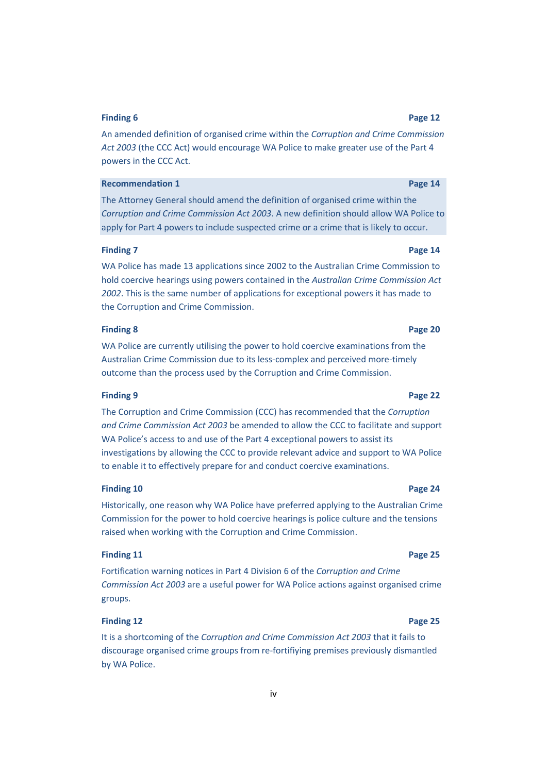#### **Finding 6 Pag[e 12](#page-27-0)**

An amended definition of organised crime within the *Corruption and Crime Commission Act 2003* (the CCC Act) would encourage WA Police to make greater use of the Part 4 powers in the CCC Act.

#### **Recommendation 1 Pag[e 14](#page-29-0)**

The Attorney General should amend the definition of organised crime within the *Corruption and Crime Commission Act 2003*. A new definition should allow WA Police to apply for Part 4 powers to include suspected crime or a crime that is likely to occur.

#### **Finding 7 Pag[e 14](#page-29-1)**

WA Police has made 13 applications since 2002 to the Australian Crime Commission to hold coercive hearings using powers contained in the *Australian Crime Commission Act 2002*. This is the same number of applications for exceptional powers it has made to the Corruption and Crime Commission.

#### **Finding 8 Pag[e 20](#page-35-0)**

WA Police are currently utilising the power to hold coercive examinations from the Australian Crime Commission due to its less-complex and perceived more-timely outcome than the process used by the Corruption and Crime Commission.

#### **Finding 9 Pag[e 22](#page-37-0)**

The Corruption and Crime Commission (CCC) has recommended that the *Corruption and Crime Commission Act 2003* be amended to allow the CCC to facilitate and support WA Police's access to and use of the Part 4 exceptional powers to assist its investigations by allowing the CCC to provide relevant advice and support to WA Police to enable it to effectively prepare for and conduct coercive examinations.

#### **Finding 10 Pag[e 24](#page-39-0)**

Historically, one reason why WA Police have preferred applying to the Australian Crime Commission for the power to hold coercive hearings is police culture and the tensions raised when working with the Corruption and Crime Commission.

#### **Finding 11 Pag[e 25](#page-40-0)**

Fortification warning notices in Part 4 Division 6 of the *Corruption and Crime Commission Act 2003* are a useful power for WA Police actions against organised crime groups.

#### **Finding 12 Pag[e 25](#page-40-1)**

It is a shortcoming of the *Corruption and Crime Commission Act 2003* that it fails to discourage organised crime groups from re-fortifiying premises previously dismantled by WA Police.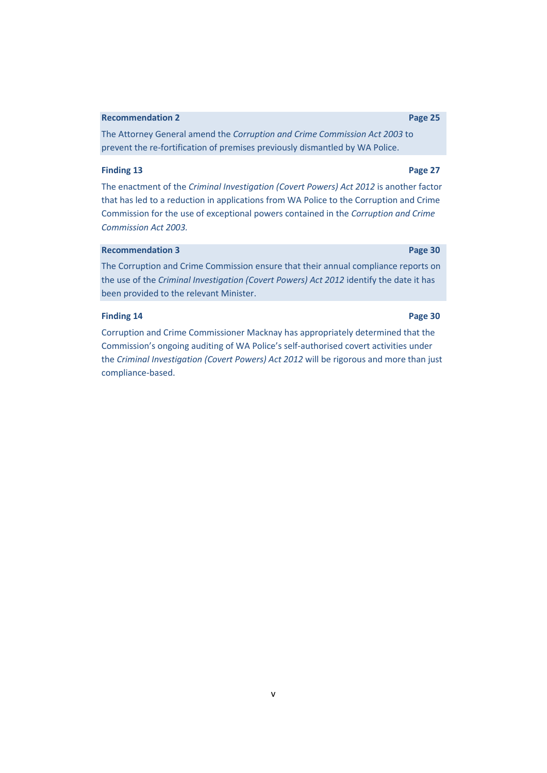v

# **Recommendation 3 Pag[e 30](#page-45-0)**

The Corruption and Crime Commission ensure that their annual compliance reports on the use of the *Criminal Investigation (Covert Powers) Act 2012* identify the date it has been provided to the relevant Minister.

#### **Finding 14 Pag[e 30](#page-45-1)**

Corruption and Crime Commissioner Macknay has appropriately determined that the Commission's ongoing auditing of WA Police's self-authorised covert activities under the *Criminal Investigation (Covert Powers) Act 2012* will be rigorous and more than just compliance-based.

### **Recommendation 2 Pag[e 25](#page-40-2)**

The Attorney General amend the *Corruption and Crime Commission Act 2003* to prevent the re-fortification of premises previously dismantled by WA Police.

The enactment of the *Criminal Investigation (Covert Powers) Act 2012* is another factor that has led to a reduction in applications from WA Police to the Corruption and Crime Commission for the use of exceptional powers contained in the *Corruption and Crime Commission Act 2003.*

#### **Finding 13 Pag[e 27](#page-42-0)**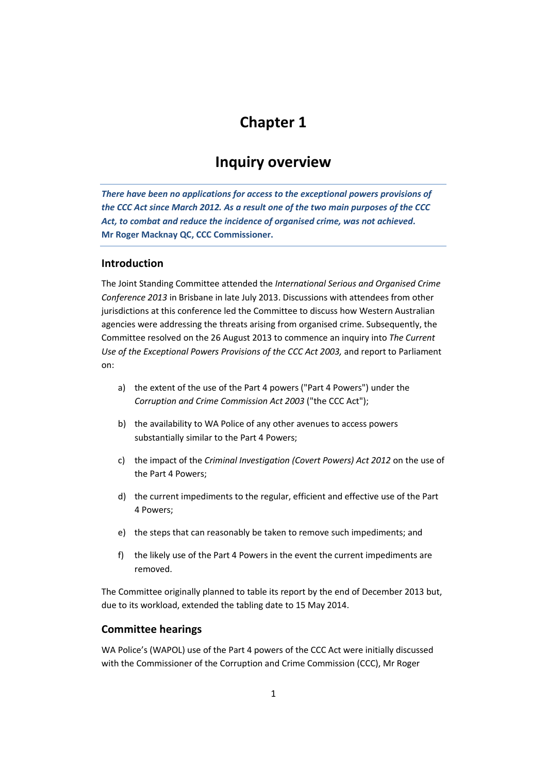## **Inquiry overview**

*There have been no applications for access to the exceptional powers provisions of the CCC Act since March 2012. As a result one of the two main purposes of the CCC Act, to combat and reduce the incidence of organised crime, was not achieved***. Mr Roger Macknay QC, CCC Commissioner.**

### **Introduction**

The Joint Standing Committee attended the *International Serious and Organised Crime Conference 2013* in Brisbane in late July 2013. Discussions with attendees from other jurisdictions at this conference led the Committee to discuss how Western Australian agencies were addressing the threats arising from organised crime. Subsequently, the Committee resolved on the 26 August 2013 to commence an inquiry into *The Current Use of the Exceptional Powers Provisions of the CCC Act 2003,* and report to Parliament on:

- a) the extent of the use of the Part 4 powers ("Part 4 Powers") under the *Corruption and Crime Commission Act 2003* ("the CCC Act");
- b) the availability to WA Police of any other avenues to access powers substantially similar to the Part 4 Powers;
- c) the impact of the *Criminal Investigation (Covert Powers) Act 2012* on the use of the Part 4 Powers;
- d) the current impediments to the regular, efficient and effective use of the Part 4 Powers;
- e) the steps that can reasonably be taken to remove such impediments; and
- f) the likely use of the Part 4 Powers in the event the current impediments are removed.

The Committee originally planned to table its report by the end of December 2013 but, due to its workload, extended the tabling date to 15 May 2014.

### **Committee hearings**

WA Police's (WAPOL) use of the Part 4 powers of the CCC Act were initially discussed with the Commissioner of the Corruption and Crime Commission (CCC), Mr Roger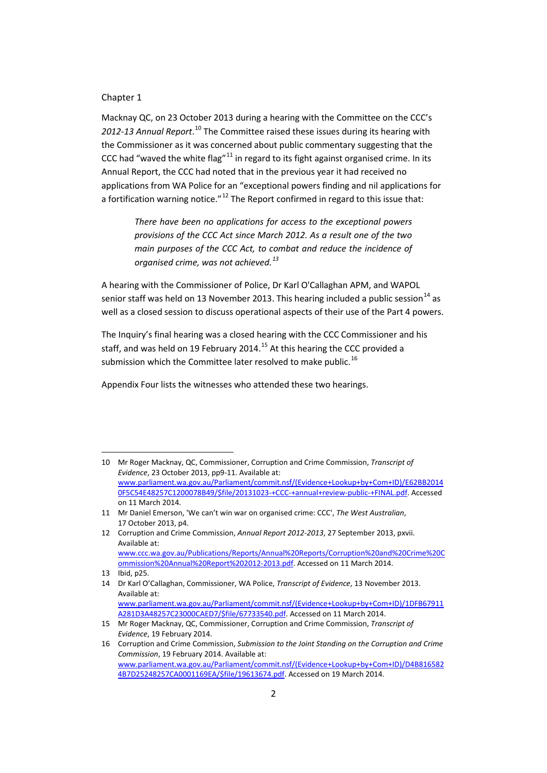Macknay QC, on 23 October 2013 during a hearing with the Committee on the CCC's *2012-13 Annual Report*. [10](#page-6-1) The Committee raised these issues during its hearing with the Commissioner as it was concerned about public commentary suggesting that the CCC had "waved the white flag" $^{11}$  $^{11}$  $^{11}$  in regard to its fight against organised crime. In its Annual Report, the CCC had noted that in the previous year it had received no applications from WA Police for an "exceptional powers finding and nil applications for a fortification warning notice."<sup>[12](#page-17-1)</sup> The Report confirmed in regard to this issue that:

*There have been no applications for access to the exceptional powers provisions of the CCC Act since March 2012. As a result one of the two main purposes of the CCC Act, to combat and reduce the incidence of organised crime, was not achieved.[13](#page-17-2)*

A hearing with the Commissioner of Police, Dr Karl O'Callaghan APM, and WAPOL senior staff was held on 13 November 2013. This hearing included a public session<sup>[14](#page-17-3)</sup> as well as a closed session to discuss operational aspects of their use of the Part 4 powers.

The Inquiry's final hearing was a closed hearing with the CCC Commissioner and his staff, and was held on 19 February 2014.<sup>[15](#page-17-4)</sup> At this hearing the CCC provided a submission which the Committee later resolved to make public.<sup>[16](#page-17-5)</sup>

Appendix Four lists the witnesses who attended these two hearings.

<span id="page-17-6"></span><sup>10</sup> Mr Roger Macknay, QC, Commissioner, Corruption and Crime Commission, *Transcript of Evidence*, 23 October 2013, pp9-11. Available at: [www.parliament.wa.gov.au/Parliament/commit.nsf/\(Evidence+Lookup+by+Com+ID\)/E62BB2014](http://www.parliament.wa.gov.au/Parliament/commit.nsf/(Evidence+Lookup+by+Com+ID)/E62BB20140F5C54E48257C1200078B49/$file/20131023-+CCC-+annual+review-public-+FINAL.pdf) [0F5C54E48257C1200078B49/\\$file/20131023-+CCC-+annual+review-public-+FINAL.pdf.](http://www.parliament.wa.gov.au/Parliament/commit.nsf/(Evidence+Lookup+by+Com+ID)/E62BB20140F5C54E48257C1200078B49/$file/20131023-+CCC-+annual+review-public-+FINAL.pdf) Accessed on 11 March 2014.

<span id="page-17-0"></span><sup>11</sup> Mr Daniel Emerson, 'We can't win war on organised crime: CCC', *The West Australian*, 17 October 2013, p4.

<span id="page-17-1"></span><sup>12</sup> Corruption and Crime Commission, *Annual Report 2012-2013*, 27 September 2013, pxvii. Available at:

[www.ccc.wa.gov.au/Publications/Reports/Annual%20Reports/Corruption%20and%20Crime%20C](http://www.ccc.wa.gov.au/Publications/Reports/Annual%20Reports/Corruption%20and%20Crime%20Commission%20Annual%20Report%202012-2013.pdf) [ommission%20Annual%20Report%202012-2013.pdf.](http://www.ccc.wa.gov.au/Publications/Reports/Annual%20Reports/Corruption%20and%20Crime%20Commission%20Annual%20Report%202012-2013.pdf) Accessed on 11 March 2014.

<span id="page-17-2"></span><sup>13</sup> Ibid, p25.

<span id="page-17-3"></span><sup>14</sup> Dr Karl O'Callaghan, Commissioner, WA Police, *Transcript of Evidence*, 13 November 2013. Available at: [www.parliament.wa.gov.au/Parliament/commit.nsf/\(Evidence+Lookup+by+Com+ID\)/1DFB67911](http://www.parliament.wa.gov.au/Parliament/commit.nsf/(Evidence+Lookup+by+Com+ID)/1DFB67911A281D3A48257C23000CAED7/$file/67733540.pdf) [A281D3A48257C23000CAED7/\\$file/67733540.pdf.](http://www.parliament.wa.gov.au/Parliament/commit.nsf/(Evidence+Lookup+by+Com+ID)/1DFB67911A281D3A48257C23000CAED7/$file/67733540.pdf) Accessed on 11 March 2014.

<span id="page-17-4"></span><sup>15</sup> Mr Roger Macknay, QC, Commissioner, Corruption and Crime Commission, *Transcript of Evidence*, 19 February 2014.

<span id="page-17-5"></span><sup>16</sup> Corruption and Crime Commission, *Submission to the Joint Standing on the Corruption and Crime Commission*, 19 February 2014. Available at: [www.parliament.wa.gov.au/Parliament/commit.nsf/\(Evidence+Lookup+by+Com+ID\)/D4B816582](http://www.parliament.wa.gov.au/Parliament/commit.nsf/(Evidence+Lookup+by+Com+ID)/D4B8165824B7D25248257CA0001169EA/$file/19613674.pdf) [4B7D25248257CA0001169EA/\\$file/19613674.pdf.](http://www.parliament.wa.gov.au/Parliament/commit.nsf/(Evidence+Lookup+by+Com+ID)/D4B8165824B7D25248257CA0001169EA/$file/19613674.pdf) Accessed on 19 March 2014.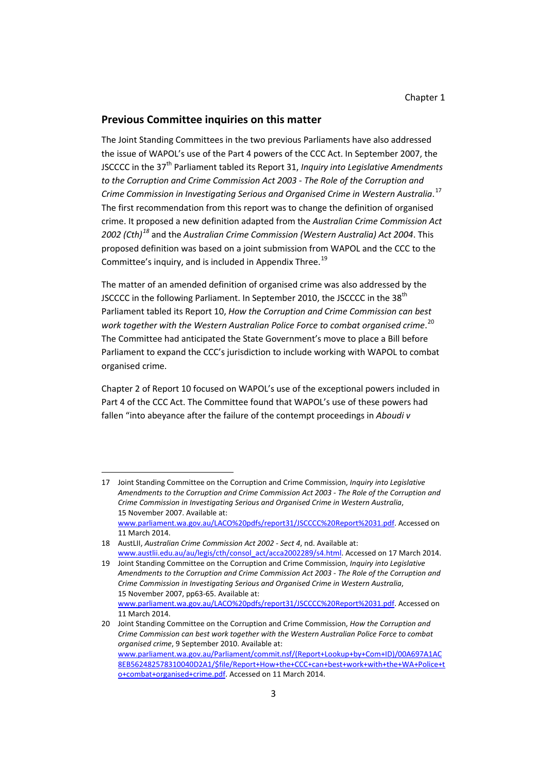#### **Previous Committee inquiries on this matter**

The Joint Standing Committees in the two previous Parliaments have also addressed the issue of WAPOL's use of the Part 4 powers of the CCC Act. In September 2007, the JSCCCC in the 37th Parliament tabled its Report 31, *Inquiry into Legislative Amendments to the Corruption and Crime Commission Act 2003 - The Role of the Corruption and Crime Commission in Investigating Serious and Organised Crime in Western Australia*. [17](#page-17-6) The first recommendation from this report was to change the definition of organised crime. It proposed a new definition adapted from the *Australian Crime Commission Act 2002 (Cth)[18](#page-18-0)* and the *Australian Crime Commission (Western Australia) Act 2004*. This proposed definition was based on a joint submission from WAPOL and the CCC to the Committee's inquiry, and is included in Appendix Three.<sup>[19](#page-18-1)</sup>

The matter of an amended definition of organised crime was also addressed by the JSCCCC in the following Parliament. In September 2010, the JSCCCC in the 38<sup>th</sup> Parliament tabled its Report 10, *How the Corruption and Crime Commission can best work together with the Western Australian Police Force to combat organised crime*. [20](#page-18-2) The Committee had anticipated the State Government's move to place a Bill before Parliament to expand the CCC's jurisdiction to include working with WAPOL to combat organised crime.

Chapter 2 of Report 10 focused on WAPOL's use of the exceptional powers included in Part 4 of the CCC Act. The Committee found that WAPOL's use of these powers had fallen "into abeyance after the failure of the contempt proceedings in *Aboudi v* 

<sup>17</sup> Joint Standing Committee on the Corruption and Crime Commission, *Inquiry into Legislative Amendments to the Corruption and Crime Commission Act 2003 - The Role of the Corruption and Crime Commission in Investigating Serious and Organised Crime in Western Australia*, 15 November 2007. Available at: [www.parliament.wa.gov.au/LACO%20pdfs/report31/JSCCCC%20Report%2031.pdf.](http://www.parliament.wa.gov.au/LACO%20pdfs/report31/JSCCCC%20Report%2031.pdf) Accessed on 11 March 2014.

<span id="page-18-0"></span><sup>18</sup> AustLII, *Australian Crime Commission Act 2002 - Sect 4*, nd. Available at: [www.austlii.edu.au/au/legis/cth/consol\\_act/acca2002289/s4.html.](http://www.austlii.edu.au/au/legis/cth/consol_act/acca2002289/s4.html) Accessed on 17 March 2014.

<span id="page-18-1"></span><sup>19</sup> Joint Standing Committee on the Corruption and Crime Commission, *Inquiry into Legislative Amendments to the Corruption and Crime Commission Act 2003 - The Role of the Corruption and Crime Commission in Investigating Serious and Organised Crime in Western Australia*, 15 November 2007, pp63-65. Available at: [www.parliament.wa.gov.au/LACO%20pdfs/report31/JSCCCC%20Report%2031.pdf.](http://www.parliament.wa.gov.au/LACO%20pdfs/report31/JSCCCC%20Report%2031.pdf) Accessed on 11 March 2014.

<span id="page-18-2"></span><sup>20</sup> Joint Standing Committee on the Corruption and Crime Commission, *How the Corruption and Crime Commission can best work together with the Western Australian Police Force to combat organised crime*, 9 September 2010. Available at: [www.parliament.wa.gov.au/Parliament/commit.nsf/\(Report+Lookup+by+Com+ID\)/00A697A1AC](http://www.parliament.wa.gov.au/Parliament/commit.nsf/(Report+Lookup+by+Com+ID)/00A697A1AC8EB562482578310040D2A1/$file/Report+How+the+CCC+can+best+work+with+the+WA+Police+to+combat+organised+crime.pdf) [8EB562482578310040D2A1/\\$file/Report+How+the+CCC+can+best+work+with+the+WA+Police+t](http://www.parliament.wa.gov.au/Parliament/commit.nsf/(Report+Lookup+by+Com+ID)/00A697A1AC8EB562482578310040D2A1/$file/Report+How+the+CCC+can+best+work+with+the+WA+Police+to+combat+organised+crime.pdf) [o+combat+organised+crime.pdf.](http://www.parliament.wa.gov.au/Parliament/commit.nsf/(Report+Lookup+by+Com+ID)/00A697A1AC8EB562482578310040D2A1/$file/Report+How+the+CCC+can+best+work+with+the+WA+Police+to+combat+organised+crime.pdf) Accessed on 11 March 2014.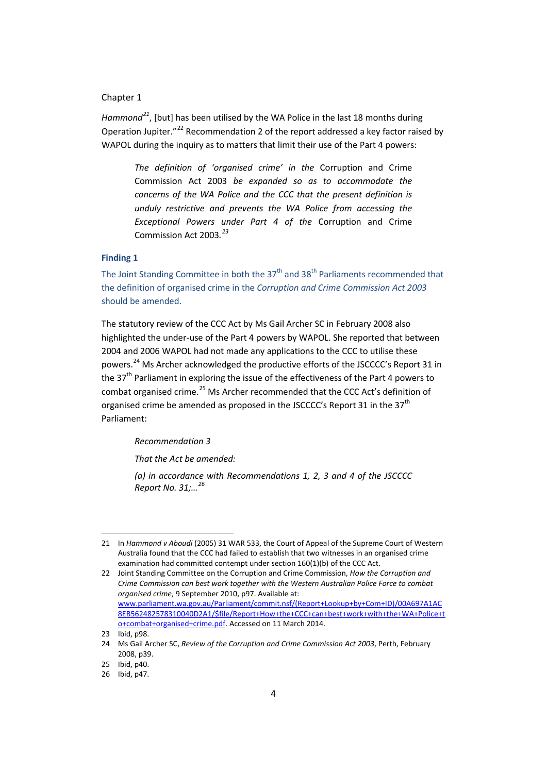*Hammond[21](#page-18-0)*, [but] has been utilised by the WA Police in the last 18 months during Operation Jupiter."<sup>[22](#page-19-1)</sup> Recommendation 2 of the report addressed a key factor raised by WAPOL during the inquiry as to matters that limit their use of the Part 4 powers:

*The definition of 'organised crime' in the* Corruption and Crime Commission Act 2003 *be expanded so as to accommodate the concerns of the WA Police and the CCC that the present definition is unduly restrictive and prevents the WA Police from accessing the Exceptional Powers under Part 4 of the* Corruption and Crime Commission Act 2003*. [23](#page-19-2)*

#### <span id="page-19-0"></span>**Finding 1**

The Joint Standing Committee in both the  $37<sup>th</sup>$  and  $38<sup>th</sup>$  Parliaments recommended that the definition of organised crime in the *Corruption and Crime Commission Act 2003* should be amended.

The statutory review of the CCC Act by Ms Gail Archer SC in February 2008 also highlighted the under-use of the Part 4 powers by WAPOL. She reported that between 2004 and 2006 WAPOL had not made any applications to the CCC to utilise these powers.<sup>[24](#page-19-3)</sup> Ms Archer acknowledged the productive efforts of the JSCCCC's Report 31 in the  $37<sup>th</sup>$  Parliament in exploring the issue of the effectiveness of the Part 4 powers to combat organised crime.<sup>[25](#page-19-4)</sup> Ms Archer recommended that the CCC Act's definition of organised crime be amended as proposed in the JSCCCC's Report 31 in the 37<sup>th</sup> Parliament:

#### *Recommendation 3*

*That the Act be amended:*

*(a) in accordance with Recommendations 1, 2, 3 and 4 of the JSCCCC Report No. 31;…[26](#page-19-5)*

<sup>21</sup> In *Hammond v Aboudi* (2005) 31 WAR 533, the Court of Appeal of the Supreme Court of Western Australia found that the CCC had failed to establish that two witnesses in an organised crime examination had committed contempt under section 160(1)(b) of the CCC Act.

<span id="page-19-1"></span><sup>22</sup> Joint Standing Committee on the Corruption and Crime Commission, *How the Corruption and Crime Commission can best work together with the Western Australian Police Force to combat organised crime*, 9 September 2010, p97. Available at: [www.parliament.wa.gov.au/Parliament/commit.nsf/\(Report+Lookup+by+Com+ID\)/00A697A1AC](http://www.parliament.wa.gov.au/Parliament/commit.nsf/(Report+Lookup+by+Com+ID)/00A697A1AC8EB562482578310040D2A1/$file/Report+How+the+CCC+can+best+work+with+the+WA+Police+to+combat+organised+crime.pdf) [8EB562482578310040D2A1/\\$file/Report+How+the+CCC+can+best+work+with+the+WA+Police+t](http://www.parliament.wa.gov.au/Parliament/commit.nsf/(Report+Lookup+by+Com+ID)/00A697A1AC8EB562482578310040D2A1/$file/Report+How+the+CCC+can+best+work+with+the+WA+Police+to+combat+organised+crime.pdf) [o+combat+organised+crime.pdf.](http://www.parliament.wa.gov.au/Parliament/commit.nsf/(Report+Lookup+by+Com+ID)/00A697A1AC8EB562482578310040D2A1/$file/Report+How+the+CCC+can+best+work+with+the+WA+Police+to+combat+organised+crime.pdf) Accessed on 11 March 2014.

<sup>23</sup> Ibid, p98.

<span id="page-19-3"></span><span id="page-19-2"></span><sup>24</sup> Ms Gail Archer SC, *Review of the Corruption and Crime Commission Act 2003*, Perth, February 2008, p39.

<span id="page-19-4"></span><sup>25</sup> Ibid, p40.

<span id="page-19-5"></span><sup>26</sup> Ibid, p47.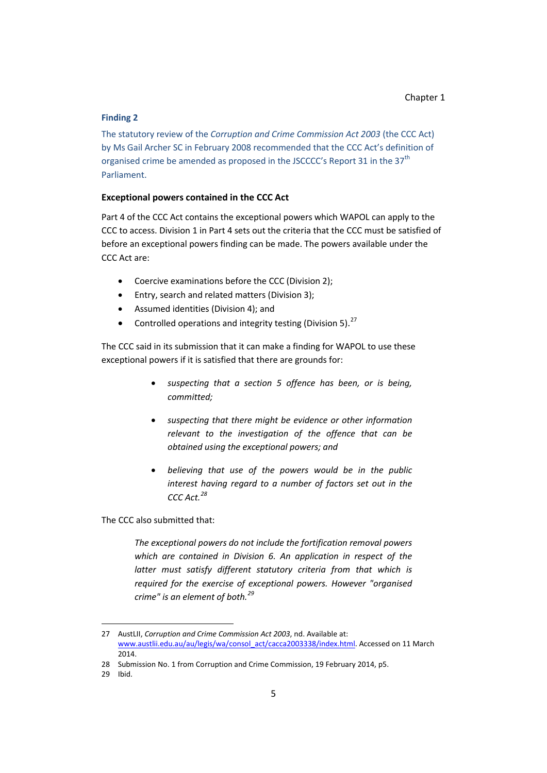#### <span id="page-20-0"></span>**Finding 2**

The statutory review of the *Corruption and Crime Commission Act 2003* (the CCC Act) by Ms Gail Archer SC in February 2008 recommended that the CCC Act's definition of organised crime be amended as proposed in the JSCCCC's Report 31 in the 37<sup>th</sup> Parliament.

#### **Exceptional powers contained in the CCC Act**

Part 4 of the CCC Act contains the exceptional powers which WAPOL can apply to the CCC to access. Division 1 in Part 4 sets out the criteria that the CCC must be satisfied of before an exceptional powers finding can be made. The powers available under the CCC Act are:

- Coercive examinations before the CCC (Division 2);
- Entry, search and related matters (Division 3);
- Assumed identities (Division 4); and
- Controlled operations and integrity testing (Division 5).<sup>[27](#page-19-2)</sup>

The CCC said in its submission that it can make a finding for WAPOL to use these exceptional powers if it is satisfied that there are grounds for:

- *suspecting that a section 5 offence has been, or is being, committed;*
- *suspecting that there might be evidence or other information relevant to the investigation of the offence that can be obtained using the exceptional powers; and*
- *believing that use of the powers would be in the public interest having regard to a number of factors set out in the CCC Act.[28](#page-20-1)*

The CCC also submitted that:

*The exceptional powers do not include the fortification removal powers which are contained in Division 6. An application in respect of the*  latter must satisfy different statutory criteria from that which is *required for the exercise of exceptional powers. However "organised crime" is an element of both. [29](#page-20-2)*

<span id="page-20-3"></span><sup>27</sup> AustLII, *Corruption and Crime Commission Act 2003*, nd. Available at: [www.austlii.edu.au/au/legis/wa/consol\\_act/cacca2003338/index.html.](http://www.austlii.edu.au/au/legis/wa/consol_act/cacca2003338/index.html) Accessed on 11 March 2014.

<span id="page-20-1"></span><sup>28</sup> Submission No. 1 from Corruption and Crime Commission, 19 February 2014, p5.

<span id="page-20-2"></span><sup>29</sup> Ibid.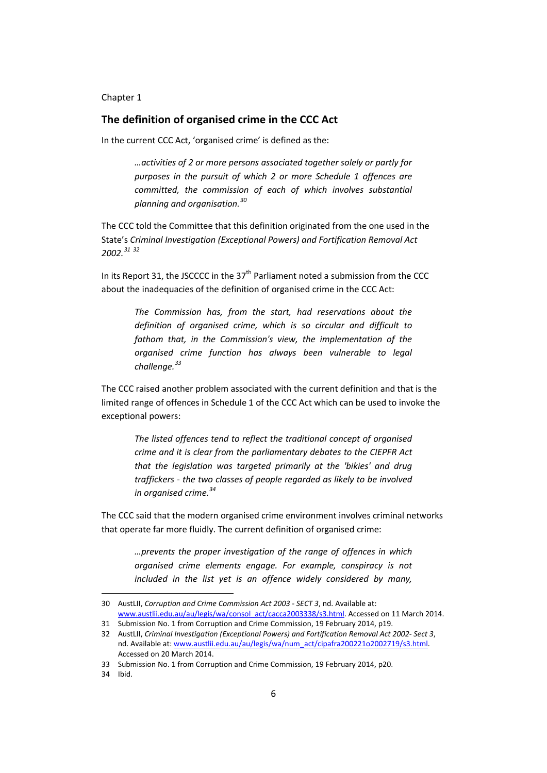## **The definition of organised crime in the CCC Act**

In the current CCC Act, 'organised crime' is defined as the:

*…activities of 2 or more persons associated together solely or partly for purposes in the pursuit of which 2 or more Schedule 1 offences are committed, the commission of each of which involves substantial planning and organisation. [30](#page-20-3)*

The CCC told the Committee that this definition originated from the one used in the State's *Criminal Investigation (Exceptional Powers) and Fortification Removal Act 2002.[31](#page-21-0) [32](#page-21-1)*

In its Report 31, the JSCCCC in the  $37<sup>th</sup>$  Parliament noted a submission from the CCC about the inadequacies of the definition of organised crime in the CCC Act:

*The Commission has, from the start, had reservations about the definition of organised crime, which is so circular and difficult to fathom that, in the Commission's view, the implementation of the organised crime function has always been vulnerable to legal challenge.[33](#page-21-2)*

The CCC raised another problem associated with the current definition and that is the limited range of offences in Schedule 1 of the CCC Act which can be used to invoke the exceptional powers:

*The listed offences tend to reflect the traditional concept of organised crime and it is clear from the parliamentary debates to the CIEPFR Act that the legislation was targeted primarily at the 'bikies' and drug traffickers - the two classes of people regarded as likely to be involved in organised crime.[34](#page-21-3)*

The CCC said that the modern organised crime environment involves criminal networks that operate far more fluidly. The current definition of organised crime:

*…prevents the proper investigation of the range of offences in which organised crime elements engage. For example, conspiracy is not included in the list yet is an offence widely considered by many,* 

<span id="page-21-4"></span><sup>30</sup> AustLII, *Corruption and Crime Commission Act 2003 - SECT 3*, nd. Available at: [www.austlii.edu.au/au/legis/wa/consol\\_act/cacca2003338/s3.html.](http://www.austlii.edu.au/au/legis/wa/consol_act/cacca2003338/s3.html) Accessed on 11 March 2014.

<span id="page-21-1"></span><span id="page-21-0"></span><sup>31</sup> Submission No. 1 from Corruption and Crime Commission, 19 February 2014, p19. 32 AustLII, *Criminal Investigation (Exceptional Powers) and Fortification Removal Act 2002- Sect 3*,

nd. Available at[: www.austlii.edu.au/au/legis/wa/num\\_act/cipafra200221o2002719/s3.html.](http://www.austlii.edu.au/au/legis/wa/num_act/cipafra200221o2002719/s3.html) Accessed on 20 March 2014.

<span id="page-21-2"></span><sup>33</sup> Submission No. 1 from Corruption and Crime Commission, 19 February 2014, p20.

<span id="page-21-3"></span><sup>34</sup> Ibid.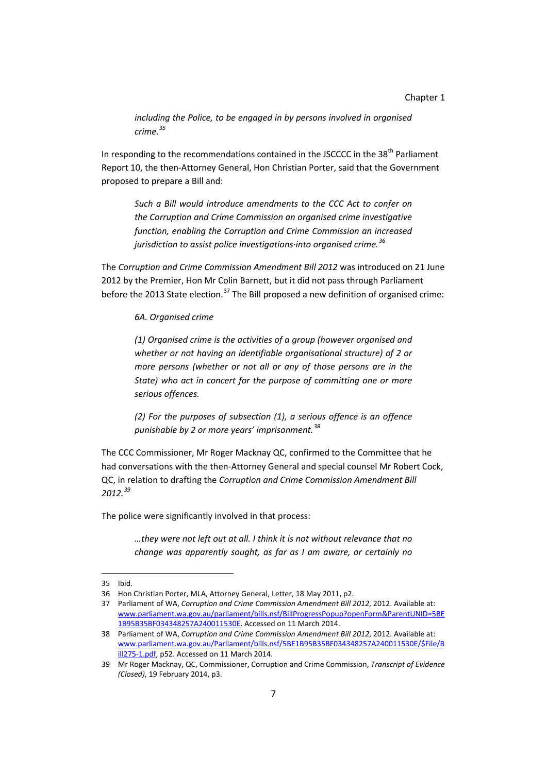*including the Police, to be engaged in by persons involved in organised crime.[35](#page-21-4)*

In responding to the recommendations contained in the JSCCCC in the 38<sup>th</sup> Parliament Report 10, the then-Attorney General, Hon Christian Porter, said that the Government proposed to prepare a Bill and:

*Such a Bill would introduce amendments to the CCC Act to confer on the Corruption and Crime Commission an organised crime investigative function, enabling the Corruption and Crime Commission an increased jurisdiction to assist police investigations·into organised crime.[36](#page-22-0)*

The *Corruption and Crime Commission Amendment Bill 2012* was introduced on 21 June 2012 by the Premier, Hon Mr Colin Barnett, but it did not pass through Parliament before the 2013 State election.<sup>[37](#page-22-1)</sup> The Bill proposed a new definition of organised crime:

*6A. Organised crime*

*(1) Organised crime is the activities of a group (however organised and whether or not having an identifiable organisational structure) of 2 or more persons (whether or not all or any of those persons are in the State) who act in concert for the purpose of committing one or more serious offences.*

*(2) For the purposes of subsection (1), a serious offence is an offence punishable by 2 or more years' imprisonment.[38](#page-22-2)*

The CCC Commissioner, Mr Roger Macknay QC, confirmed to the Committee that he had conversations with the then-Attorney General and special counsel Mr Robert Cock, QC, in relation to drafting the *Corruption and Crime Commission Amendment Bill 2012. [39](#page-22-3)*

The police were significantly involved in that process:

*…they were not left out at all. I think it is not without relevance that no change was apparently sought, as far as I am aware, or certainly no* 

<sup>35</sup> Ibid.

<span id="page-22-0"></span><sup>36</sup> Hon Christian Porter, MLA, Attorney General, Letter, 18 May 2011, p2.

<span id="page-22-1"></span><sup>37</sup> Parliament of WA, *Corruption and Crime Commission Amendment Bill 2012*, 2012. Available at: [www.parliament.wa.gov.au/parliament/bills.nsf/BillProgressPopup?openForm&ParentUNID=5BE](http://www.parliament.wa.gov.au/parliament/bills.nsf/BillProgressPopup?openForm&ParentUNID=5BE1B95B35BF034348257A240011530E) [1B95B35BF034348257A240011530E.](http://www.parliament.wa.gov.au/parliament/bills.nsf/BillProgressPopup?openForm&ParentUNID=5BE1B95B35BF034348257A240011530E) Accessed on 11 March 2014.

<span id="page-22-2"></span><sup>38</sup> Parliament of WA, *Corruption and Crime Commission Amendment Bill 2012*, 2012. Available at: [www.parliament.wa.gov.au/Parliament/bills.nsf/5BE1B95B35BF034348257A240011530E/\\$File/B](http://www.parliament.wa.gov.au/Parliament/bills.nsf/5BE1B95B35BF034348257A240011530E/$File/Bill275-1.pdf) [ill275-1.pdf,](http://www.parliament.wa.gov.au/Parliament/bills.nsf/5BE1B95B35BF034348257A240011530E/$File/Bill275-1.pdf) p52. Accessed on 11 March 2014.

<span id="page-22-4"></span><span id="page-22-3"></span><sup>39</sup> Mr Roger Macknay, QC, Commissioner, Corruption and Crime Commission, *Transcript of Evidence (Closed)*, 19 February 2014, p3.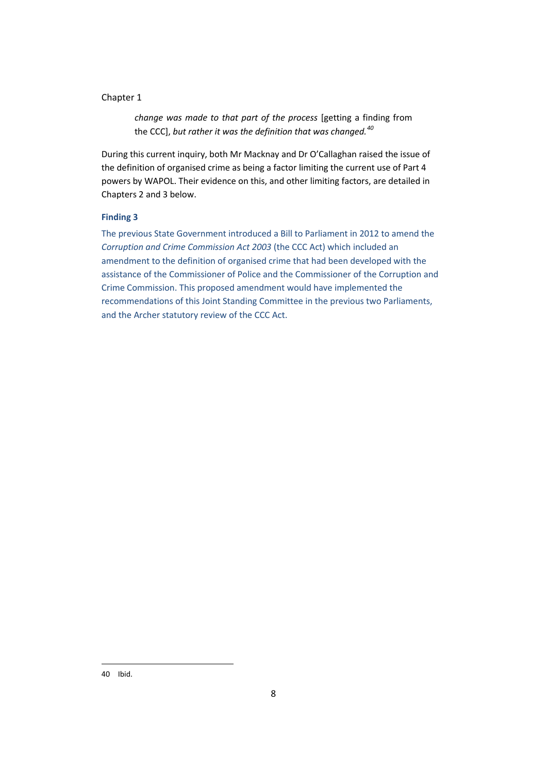*change was made to that part of the process* [getting a finding from the CCC], *but rather it was the definition that was changed.[40](#page-22-4)*

During this current inquiry, both Mr Macknay and Dr O'Callaghan raised the issue of the definition of organised crime as being a factor limiting the current use of Part 4 powers by WAPOL. Their evidence on this, and other limiting factors, are detailed in Chapters 2 and 3 below.

#### <span id="page-23-0"></span>**Finding 3**

The previous State Government introduced a Bill to Parliament in 2012 to amend the *Corruption and Crime Commission Act 2003* (the CCC Act) which included an amendment to the definition of organised crime that had been developed with the assistance of the Commissioner of Police and the Commissioner of the Corruption and Crime Commission. This proposed amendment would have implemented the recommendations of this Joint Standing Committee in the previous two Parliaments, and the Archer statutory review of the CCC Act.

<span id="page-23-1"></span><sup>40</sup> Ibid.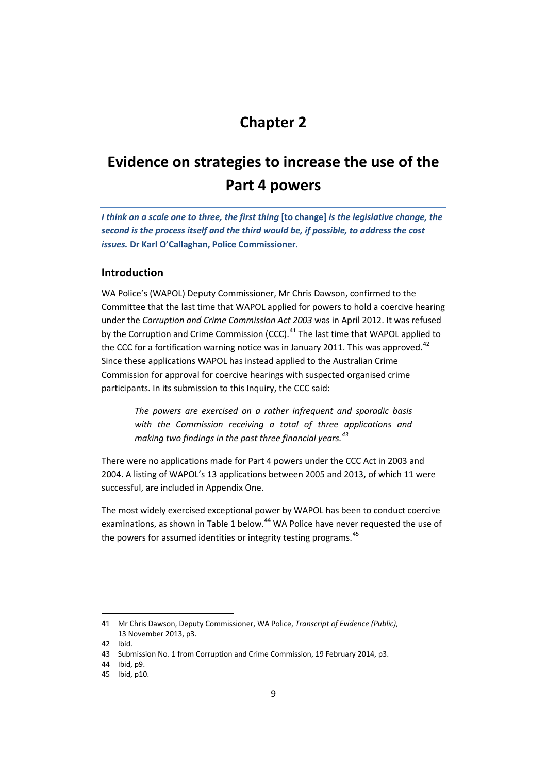# **Evidence on strategies to increase the use of the Part 4 powers**

*I think on a scale one to three, the first thing* **[to change]** *is the legislative change, the second is the process itself and the third would be, if possible, to address the cost issues.* **Dr Karl O'Callaghan, Police Commissioner.**

#### **Introduction**

WA Police's (WAPOL) Deputy Commissioner, Mr Chris Dawson, confirmed to the Committee that the last time that WAPOL applied for powers to hold a coercive hearing under the *Corruption and Crime Commission Act 2003* was in April 2012. It was refused by the Corruption and Crime Commission (CCC).<sup>[41](#page-23-1)</sup> The last time that WAPOL applied to the CCC for a fortification warning notice was in January 2011. This was approved.<sup>[42](#page-24-0)</sup> Since these applications WAPOL has instead applied to the Australian Crime Commission for approval for coercive hearings with suspected organised crime participants. In its submission to this Inquiry, the CCC said:

*The powers are exercised on a rather infrequent and sporadic basis with the Commission receiving a total of three applications and making two findings in the past three financial years.[43](#page-24-1)*

There were no applications made for Part 4 powers under the CCC Act in 2003 and 2004. A listing of WAPOL's 13 applications between 2005 and 2013, of which 11 were successful, are included in Appendix One.

The most widely exercised exceptional power by WAPOL has been to conduct coercive examinations, as shown in Table 1 below.<sup>[44](#page-24-2)</sup> WA Police have never requested the use of the powers for assumed identities or integrity testing programs.<sup>[45](#page-24-3)</sup>

<sup>41</sup> Mr Chris Dawson, Deputy Commissioner, WA Police, *Transcript of Evidence (Public)*, 13 November 2013, p3.

<span id="page-24-1"></span><span id="page-24-0"></span><sup>42</sup> Ibid.

<sup>43</sup> Submission No. 1 from Corruption and Crime Commission, 19 February 2014, p3.

<span id="page-24-2"></span><sup>44</sup> Ibid, p9.

<span id="page-24-3"></span><sup>45</sup> Ibid, p10.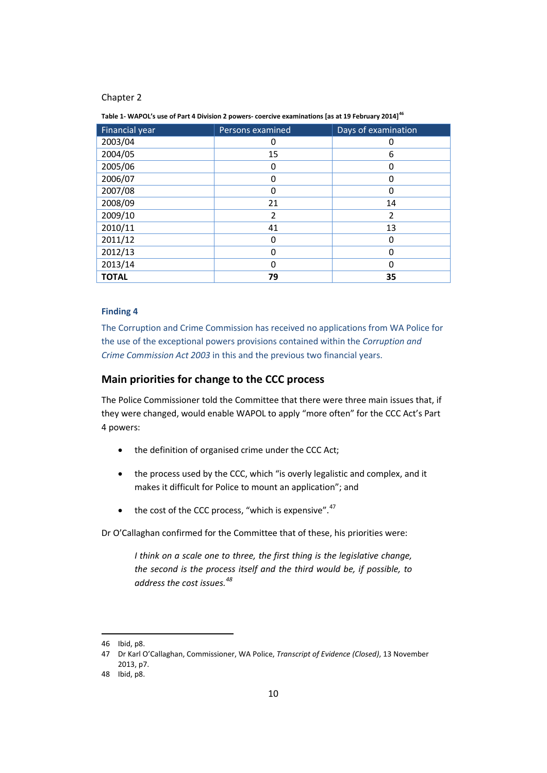**Table 1- WAPOL's use of Part 4 Division 2 powers- coercive examinations [as at 19 February 2014][46](#page-24-0)**

| <b>Financial year</b> | Persons examined | Days of examination |
|-----------------------|------------------|---------------------|
| 2003/04               |                  | Ω                   |
| 2004/05               | 15               | 6                   |
| 2005/06               | 0                | 0                   |
| 2006/07               |                  | 0                   |
| 2007/08               |                  | 0                   |
| 2008/09               | 21               | 14                  |
| 2009/10               | $\overline{2}$   | 2                   |
| 2010/11               | 41               | 13                  |
| 2011/12               | 0                | 0                   |
| 2012/13               | ŋ                | 0                   |
| 2013/14               | n                | ი                   |
| <b>TOTAL</b>          | 79               | 35                  |

#### <span id="page-25-0"></span>**Finding 4**

The Corruption and Crime Commission has received no applications from WA Police for the use of the exceptional powers provisions contained within the *Corruption and Crime Commission Act 2003* in this and the previous two financial years.

## **Main priorities for change to the CCC process**

The Police Commissioner told the Committee that there were three main issues that, if they were changed, would enable WAPOL to apply "more often" for the CCC Act's Part 4 powers:

- the definition of organised crime under the CCC Act;
- the process used by the CCC, which "is overly legalistic and complex, and it makes it difficult for Police to mount an application"; and
- the cost of the CCC process, "which is expensive".<sup>[47](#page-25-1)</sup>

Dr O'Callaghan confirmed for the Committee that of these, his priorities were:

*I think on a scale one to three, the first thing is the legislative change, the second is the process itself and the third would be, if possible, to address the cost issues.[48](#page-25-2)*

<sup>46</sup> Ibid, p8.

<span id="page-25-1"></span><sup>47</sup> Dr Karl O'Callaghan, Commissioner, WA Police, *Transcript of Evidence (Closed)*, 13 November 2013, p7.

<span id="page-25-2"></span><sup>48</sup> Ibid, p8.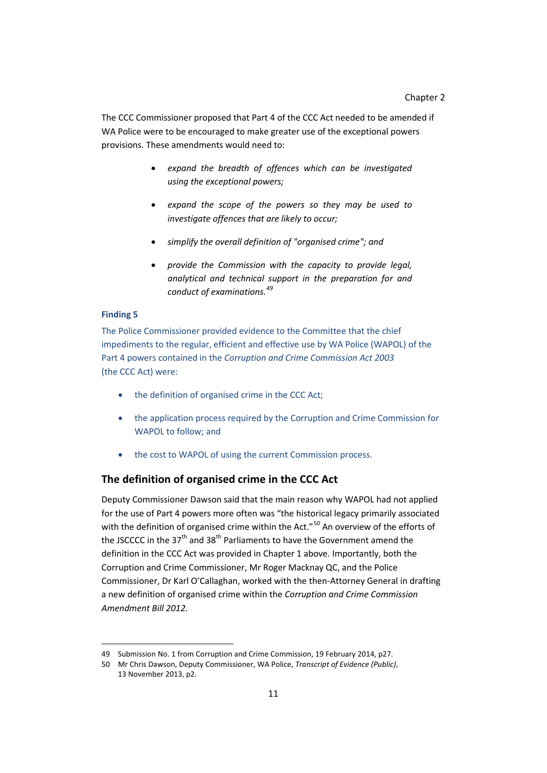The CCC Commissioner proposed that Part 4 of the CCC Act needed to be amended if WA Police were to be encouraged to make greater use of the exceptional powers provisions. These amendments would need to:

- *expand the breadth of offences which can be investigated using the exceptional powers;*
- *expand the scope of the powers so they may be used to investigate offences that are likely to occur;*
- *simplify the overall definition of "organised crime"; and*
- *provide the Commission with the capacity to provide legal, analytical and technical support in the preparation for and conduct of examinations.[49](#page-25-1)*

#### <span id="page-26-0"></span>**Finding 5**

<span id="page-26-2"></span> $\overline{a}$ 

The Police Commissioner provided evidence to the Committee that the chief impediments to the regular, efficient and effective use by WA Police (WAPOL) of the Part 4 powers contained in the *Corruption and Crime Commission Act 2003* (the CCC Act) were:

- the definition of organised crime in the CCC Act;
- the application process required by the Corruption and Crime Commission for WAPOL to follow; and
- the cost to WAPOL of using the current Commission process.

#### **The definition of organised crime in the CCC Act**

Deputy Commissioner Dawson said that the main reason why WAPOL had not applied for the use of Part 4 powers more often was "the historical legacy primarily associated with the definition of organised crime within the Act."<sup>[50](#page-26-1)</sup> An overview of the efforts of the JSCCCC in the 37<sup>th</sup> and 38<sup>th</sup> Parliaments to have the Government amend the definition in the CCC Act was provided in Chapter 1 above. Importantly, both the Corruption and Crime Commissioner, Mr Roger Macknay QC, and the Police Commissioner, Dr Karl O'Callaghan, worked with the then-Attorney General in drafting a new definition of organised crime within the *Corruption and Crime Commission Amendment Bill 2012.*

<sup>49</sup> Submission No. 1 from Corruption and Crime Commission, 19 February 2014, p27.

<span id="page-26-1"></span><sup>50</sup> Mr Chris Dawson, Deputy Commissioner, WA Police, *Transcript of Evidence (Public)*, 13 November 2013, p2.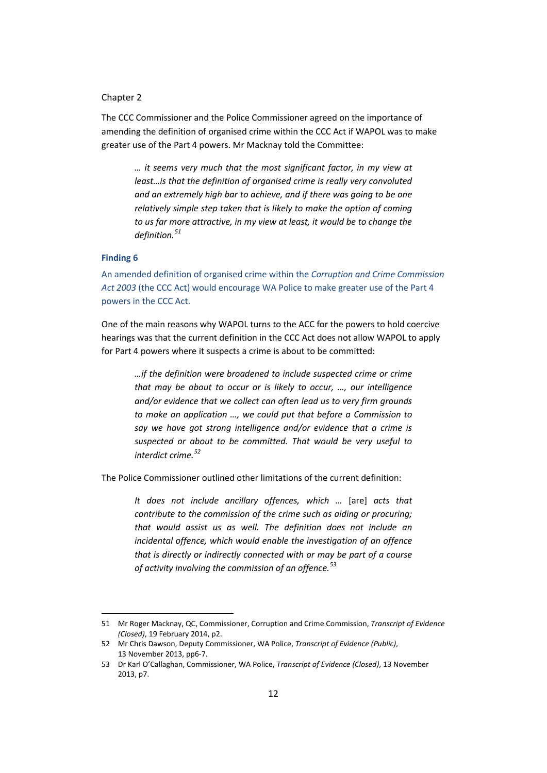The CCC Commissioner and the Police Commissioner agreed on the importance of amending the definition of organised crime within the CCC Act if WAPOL was to make greater use of the Part 4 powers. Mr Macknay told the Committee:

*… it seems very much that the most significant factor, in my view at least…is that the definition of organised crime is really very convoluted and an extremely high bar to achieve, and if there was going to be one relatively simple step taken that is likely to make the option of coming to us far more attractive, in my view at least, it would be to change the definition. [51](#page-26-2)*

#### <span id="page-27-0"></span>**Finding 6**

 $\overline{a}$ 

An amended definition of organised crime within the *Corruption and Crime Commission Act 2003* (the CCC Act) would encourage WA Police to make greater use of the Part 4 powers in the CCC Act.

One of the main reasons why WAPOL turns to the ACC for the powers to hold coercive hearings was that the current definition in the CCC Act does not allow WAPOL to apply for Part 4 powers where it suspects a crime is about to be committed:

*…if the definition were broadened to include suspected crime or crime that may be about to occur or is likely to occur, …, our intelligence and/or evidence that we collect can often lead us to very firm grounds to make an application …, we could put that before a Commission to say we have got strong intelligence and/or evidence that a crime is suspected or about to be committed. That would be very useful to interdict crime.[52](#page-27-1)*

The Police Commissioner outlined other limitations of the current definition:

*It does not include ancillary offences, which …* [are] *acts that contribute to the commission of the crime such as aiding or procuring; that would assist us as well. The definition does not include an incidental offence, which would enable the investigation of an offence that is directly or indirectly connected with or may be part of a course of activity involving the commission of an offence.[53](#page-27-2)*

<span id="page-27-3"></span><sup>51</sup> Mr Roger Macknay, QC, Commissioner, Corruption and Crime Commission, *Transcript of Evidence (Closed)*, 19 February 2014, p2.

<span id="page-27-1"></span><sup>52</sup> Mr Chris Dawson, Deputy Commissioner, WA Police, *Transcript of Evidence (Public)*, 13 November 2013, pp6-7.

<span id="page-27-2"></span><sup>53</sup> Dr Karl O'Callaghan, Commissioner, WA Police, *Transcript of Evidence (Closed)*, 13 November 2013, p7.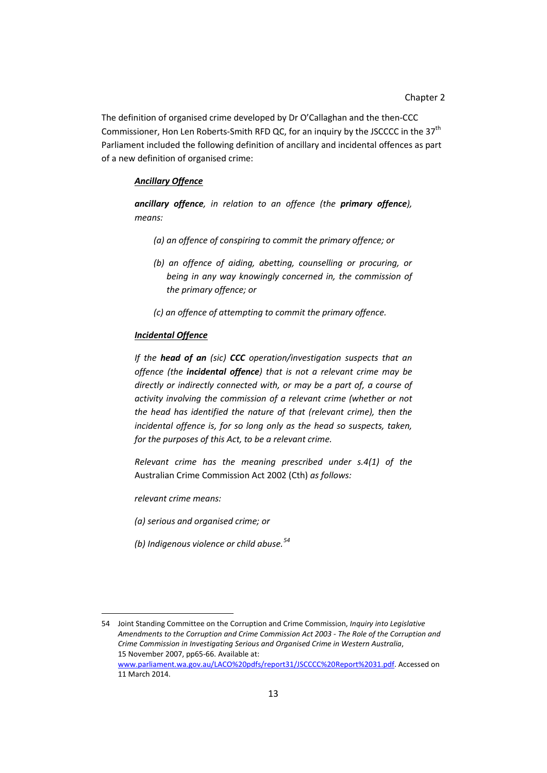The definition of organised crime developed by Dr O'Callaghan and the then-CCC Commissioner, Hon Len Roberts-Smith RFD QC, for an inquiry by the JSCCCC in the 37<sup>th</sup> Parliament included the following definition of ancillary and incidental offences as part of a new definition of organised crime:

#### *Ancillary Offence*

*ancillary offence, in relation to an offence (the primary offence), means:*

- *(a) an offence of conspiring to commit the primary offence; or*
- *(b) an offence of aiding, abetting, counselling or procuring, or being in any way knowingly concerned in, the commission of the primary offence; or*
- *(c) an offence of attempting to commit the primary offence.*

#### *Incidental Offence*

*If the head of an (sic) CCC operation/investigation suspects that an offence (the incidental offence) that is not a relevant crime may be directly or indirectly connected with, or may be a part of, a course of activity involving the commission of a relevant crime (whether or not the head has identified the nature of that (relevant crime), then the incidental offence is, for so long only as the head so suspects, taken, for the purposes of this Act, to be a relevant crime.*

*Relevant crime has the meaning prescribed under s.4(1) of the*  Australian Crime Commission Act 2002 (Cth) *as follows:*

*relevant crime means:*

 $\overline{a}$ 

*(a) serious and organised crime; or*

*(b) Indigenous violence or child abuse. [54](#page-27-3)*

<span id="page-28-0"></span><sup>54</sup> Joint Standing Committee on the Corruption and Crime Commission, *Inquiry into Legislative Amendments to the Corruption and Crime Commission Act 2003 - The Role of the Corruption and Crime Commission in Investigating Serious and Organised Crime in Western Australia*, 15 November 2007, pp65-66. Available at: [www.parliament.wa.gov.au/LACO%20pdfs/report31/JSCCCC%20Report%2031.pdf.](http://www.parliament.wa.gov.au/LACO%20pdfs/report31/JSCCCC%20Report%2031.pdf) Accessed on 11 March 2014.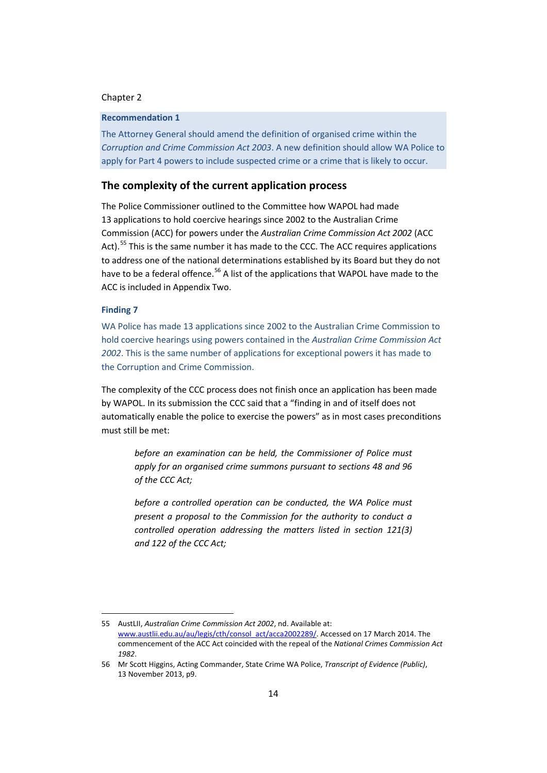#### <span id="page-29-0"></span>**Recommendation 1**

The Attorney General should amend the definition of organised crime within the *Corruption and Crime Commission Act 2003*. A new definition should allow WA Police to apply for Part 4 powers to include suspected crime or a crime that is likely to occur.

#### **The complexity of the current application process**

The Police Commissioner outlined to the Committee how WAPOL had made 13 applications to hold coercive hearings since 2002 to the Australian Crime Commission (ACC) for powers under the *Australian Crime Commission Act 2002* (ACC Act).<sup>[55](#page-28-0)</sup> This is the same number it has made to the CCC. The ACC requires applications to address one of the national determinations established by its Board but they do not have to be a federal offence.<sup>[56](#page-29-2)</sup> A list of the applications that WAPOL have made to the ACC is included in Appendix Two.

#### <span id="page-29-1"></span>**Finding 7**

<span id="page-29-3"></span> $\overline{a}$ 

WA Police has made 13 applications since 2002 to the Australian Crime Commission to hold coercive hearings using powers contained in the *Australian Crime Commission Act 2002*. This is the same number of applications for exceptional powers it has made to the Corruption and Crime Commission.

The complexity of the CCC process does not finish once an application has been made by WAPOL. In its submission the CCC said that a "finding in and of itself does not automatically enable the police to exercise the powers" as in most cases preconditions must still be met:

*before an examination can be held, the Commissioner of Police must apply for an organised crime summons pursuant to sections 48 and 96 of the CCC Act;*

*before a controlled operation can be conducted, the WA Police must present a proposal to the Commission for the authority to conduct a controlled operation addressing the matters listed in section 121(3) and 122 of the CCC Act;*

<sup>55</sup> AustLII, *Australian Crime Commission Act 2002*, nd. Available at: [www.austlii.edu.au/au/legis/cth/consol\\_act/acca2002289/.](http://www.austlii.edu.au/au/legis/cth/consol_act/acca2002289/) Accessed on 17 March 2014. The commencement of the ACC Act coincided with the repeal of the *National Crimes Commission Act 1982*.

<span id="page-29-2"></span><sup>56</sup> Mr Scott Higgins, Acting Commander, State Crime WA Police, *Transcript of Evidence (Public)*, 13 November 2013, p9.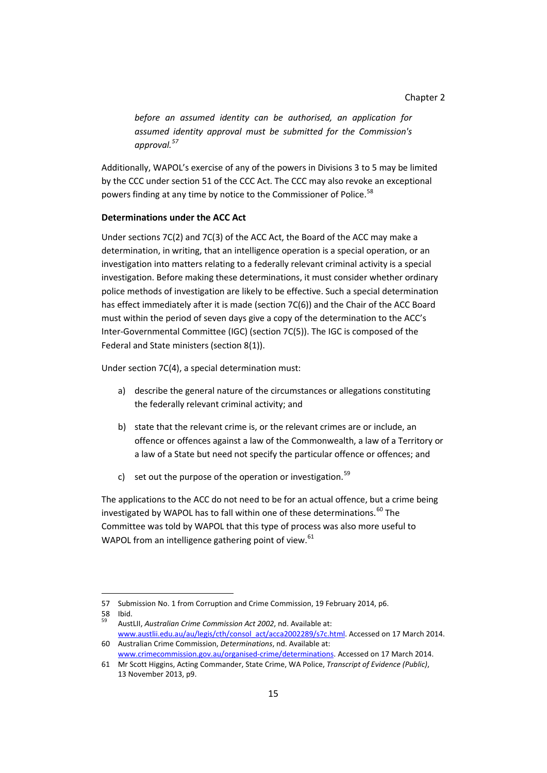*before an assumed identity can be authorised, an application for assumed identity approval must be submitted for the Commission's approval.[57](#page-29-3)*

Additionally, WAPOL's exercise of any of the powers in Divisions 3 to 5 may be limited by the CCC under section 51 of the CCC Act. The CCC may also revoke an exceptional powers finding at any time by notice to the Commissioner of Police.<sup>[58](#page-30-0)</sup>

#### **Determinations under the ACC Act**

Under sections 7C(2) and 7C(3) of the ACC Act, the Board of the ACC may make a determination, in writing, that an intelligence operation is a special operation, or an investigation into matters relating to a federally relevant criminal activity is a special investigation. Before making these determinations, it must consider whether ordinary police methods of investigation are likely to be effective. Such a special determination has effect immediately after it is made (section 7C(6)) and the Chair of the ACC Board must within the period of seven days give a copy of the determination to the ACC's Inter-Governmental Committee (IGC) (section 7C(5)). The IGC is composed of the Federal and State ministers (section 8(1)).

Under section 7C(4), a special determination must:

- a) describe the general nature of the circumstances or allegations constituting the federally relevant criminal activity; and
- b) state that the relevant crime is, or the relevant crimes are or include, an offence or offences against a law of the Commonwealth, a law of a Territory or a law of a State but need not specify the particular offence or offences; and
- c) set out the purpose of the operation or investigation.<sup>[59](#page-30-1)</sup>

The applications to the ACC do not need to be for an actual offence, but a crime being investigated by WAPOL has to fall within one of these determinations. [60](#page-30-2) The Committee was told by WAPOL that this type of process was also more useful to WAPOL from an intelligence gathering point of view.<sup>[61](#page-30-3)</sup>

<span id="page-30-4"></span><sup>57</sup> Submission No. 1 from Corruption and Crime Commission, 19 February 2014, p6.

<span id="page-30-1"></span><span id="page-30-0"></span><sup>58</sup> Ibid.<br><sup>59</sup> AustLII, *Australian Crime Commission Act 2002*, nd. Available at: [www.austlii.edu.au/au/legis/cth/consol\\_act/acca2002289/s7c.html.](http://www.austlii.edu.au/au/legis/cth/consol_act/acca2002289/s7c.html) Accessed on 17 March 2014. 60 Australian Crime Commission, *Determinations*, nd. Available at:

<span id="page-30-2"></span>[www.crimecommission.gov.au/organised-crime/determinations.](http://www.crimecommission.gov.au/organised-crime/determinations) Accessed on 17 March 2014.

<span id="page-30-3"></span><sup>61</sup> Mr Scott Higgins, Acting Commander, State Crime, WA Police, *Transcript of Evidence (Public)*, 13 November 2013, p9.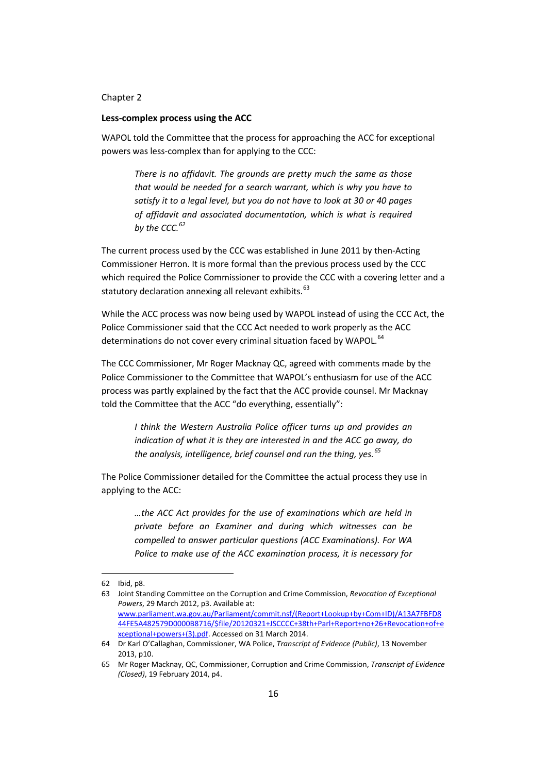#### **Less-complex process using the ACC**

WAPOL told the Committee that the process for approaching the ACC for exceptional powers was less-complex than for applying to the CCC:

*There is no affidavit. The grounds are pretty much the same as those that would be needed for a search warrant, which is why you have to satisfy it to a legal level, but you do not have to look at 30 or 40 pages of affidavit and associated documentation, which is what is required by the CCC.[62](#page-30-4)*

The current process used by the CCC was established in June 2011 by then-Acting Commissioner Herron. It is more formal than the previous process used by the CCC which required the Police Commissioner to provide the CCC with a covering letter and a statutory declaration annexing all relevant exhibits.<sup>[63](#page-31-0)</sup>

While the ACC process was now being used by WAPOL instead of using the CCC Act, the Police Commissioner said that the CCC Act needed to work properly as the ACC determinations do not cover every criminal situation faced by WAPOL.<sup>[64](#page-31-1)</sup>

The CCC Commissioner, Mr Roger Macknay QC, agreed with comments made by the Police Commissioner to the Committee that WAPOL's enthusiasm for use of the ACC process was partly explained by the fact that the ACC provide counsel. Mr Macknay told the Committee that the ACC "do everything, essentially":

> *I think the Western Australia Police officer turns up and provides an indication of what it is they are interested in and the ACC go away, do the analysis, intelligence, brief counsel and run the thing, yes.[65](#page-31-2)*

The Police Commissioner detailed for the Committee the actual process they use in applying to the ACC:

*…the ACC Act provides for the use of examinations which are held in private before an Examiner and during which witnesses can be compelled to answer particular questions (ACC Examinations). For WA Police to make use of the ACC examination process, it is necessary for* 

<sup>62</sup> Ibid, p8.

<span id="page-31-0"></span><sup>63</sup> Joint Standing Committee on the Corruption and Crime Commission, *Revocation of Exceptional Powers*, 29 March 2012, p3. Available at: [www.parliament.wa.gov.au/Parliament/commit.nsf/\(Report+Lookup+by+Com+ID\)/A13A7FBFD8](http://www.parliament.wa.gov.au/Parliament/commit.nsf/(Report+Lookup+by+Com+ID)/A13A7FBFD844FE5A482579D0000B8716/$file/20120321+JSCCCC+38th+Parl+Report+no+26+Revocation+of+exceptional+powers+(3).pdf) [44FE5A482579D0000B8716/\\$file/20120321+JSCCCC+38th+Parl+Report+no+26+Revocation+of+e](http://www.parliament.wa.gov.au/Parliament/commit.nsf/(Report+Lookup+by+Com+ID)/A13A7FBFD844FE5A482579D0000B8716/$file/20120321+JSCCCC+38th+Parl+Report+no+26+Revocation+of+exceptional+powers+(3).pdf) [xceptional+powers+\(3\).pdf.](http://www.parliament.wa.gov.au/Parliament/commit.nsf/(Report+Lookup+by+Com+ID)/A13A7FBFD844FE5A482579D0000B8716/$file/20120321+JSCCCC+38th+Parl+Report+no+26+Revocation+of+exceptional+powers+(3).pdf) Accessed on 31 March 2014.

<span id="page-31-3"></span><span id="page-31-1"></span><sup>64</sup> Dr Karl O'Callaghan, Commissioner, WA Police, *Transcript of Evidence (Public)*, 13 November 2013, p10.

<span id="page-31-2"></span><sup>65</sup> Mr Roger Macknay, QC, Commissioner, Corruption and Crime Commission, *Transcript of Evidence (Closed)*, 19 February 2014, p4.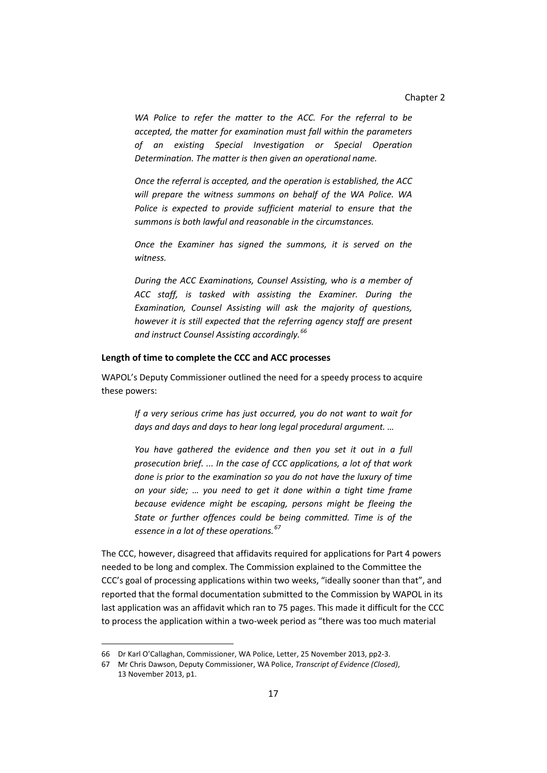*WA Police to refer the matter to the ACC. For the referral to be accepted, the matter for examination must fall within the parameters of an existing Special Investigation or Special Operation Determination. The matter is then given an operational name.*

*Once the referral is accepted, and the operation is established, the ACC will prepare the witness summons on behalf of the WA Police. WA Police is expected to provide sufficient material to ensure that the summons is both lawful and reasonable in the circumstances.*

*Once the Examiner has signed the summons, it is served on the witness.*

*During the ACC Examinations, Counsel Assisting, who is a member of ACC staff, is tasked with assisting the Examiner. During the Examination, Counsel Assisting will ask the majority of questions, however it is still expected that the referring agency staff are present and instruct Counsel Assisting accordingly.[66](#page-31-3)*

#### **Length of time to complete the CCC and ACC processes**

WAPOL's Deputy Commissioner outlined the need for a speedy process to acquire these powers:

> *If a very serious crime has just occurred, you do not want to wait for days and days and days to hear long legal procedural argument. …*

> *You have gathered the evidence and then you set it out in a full prosecution brief. ... In the case of CCC applications, a lot of that work done is prior to the examination so you do not have the luxury of time on your side; … you need to get it done within a tight time frame because evidence might be escaping, persons might be fleeing the State or further offences could be being committed. Time is of the essence in a lot of these operations.[67](#page-32-0)*

The CCC, however, disagreed that affidavits required for applications for Part 4 powers needed to be long and complex. The Commission explained to the Committee the CCC's goal of processing applications within two weeks, "ideally sooner than that", and reported that the formal documentation submitted to the Commission by WAPOL in its last application was an affidavit which ran to 75 pages. This made it difficult for the CCC to process the application within a two-week period as "there was too much material

<span id="page-32-1"></span><sup>66</sup> Dr Karl O'Callaghan, Commissioner, WA Police, Letter, 25 November 2013, pp2-3.

<span id="page-32-0"></span><sup>67</sup> Mr Chris Dawson, Deputy Commissioner, WA Police, *Transcript of Evidence (Closed)*, 13 November 2013, p1.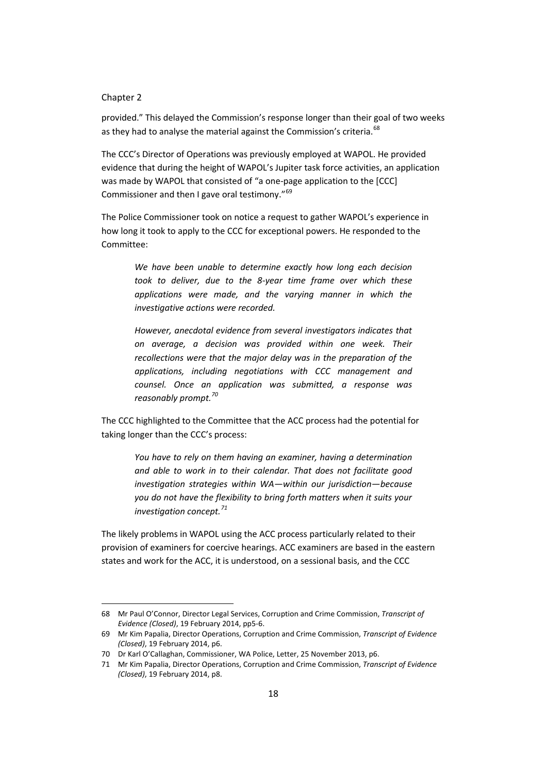$\overline{a}$ 

provided." This delayed the Commission's response longer than their goal of two weeks as they had to analyse the material against the Commission's criteria.<sup>[68](#page-32-1)</sup>

The CCC's Director of Operations was previously employed at WAPOL. He provided evidence that during the height of WAPOL's Jupiter task force activities, an application was made by WAPOL that consisted of "a one-page application to the [CCC] Commissioner and then I gave oral testimony."[69](#page-33-0)

The Police Commissioner took on notice a request to gather WAPOL's experience in how long it took to apply to the CCC for exceptional powers. He responded to the Committee:

> *We have been unable to determine exactly how long each decision took to deliver, due to the 8-year time frame over which these applications were made, and the varying manner in which the investigative actions were recorded.*

> *However, anecdotal evidence from several investigators indicates that on average, a decision was provided within one week. Their recollections were that the major delay was in the preparation of the applications, including negotiations with CCC management and counsel. Once an application was submitted, a response was reasonably prompt.[70](#page-33-1)*

The CCC highlighted to the Committee that the ACC process had the potential for taking longer than the CCC's process:

> *You have to rely on them having an examiner, having a determination and able to work in to their calendar. That does not facilitate good investigation strategies within WA—within our jurisdiction—because you do not have the flexibility to bring forth matters when it suits your investigation concept.[71](#page-33-2)*

The likely problems in WAPOL using the ACC process particularly related to their provision of examiners for coercive hearings. ACC examiners are based in the eastern states and work for the ACC, it is understood, on a sessional basis, and the CCC

<sup>68</sup> Mr Paul O'Connor, Director Legal Services, Corruption and Crime Commission, *Transcript of Evidence (Closed)*, 19 February 2014, pp5-6.

<span id="page-33-3"></span><span id="page-33-0"></span><sup>69</sup> Mr Kim Papalia, Director Operations, Corruption and Crime Commission, *Transcript of Evidence (Closed)*, 19 February 2014, p6.

<span id="page-33-1"></span><sup>70</sup> Dr Karl O'Callaghan, Commissioner, WA Police, Letter, 25 November 2013, p6.

<span id="page-33-2"></span><sup>71</sup> Mr Kim Papalia, Director Operations, Corruption and Crime Commission, *Transcript of Evidence (Closed)*, 19 February 2014, p8.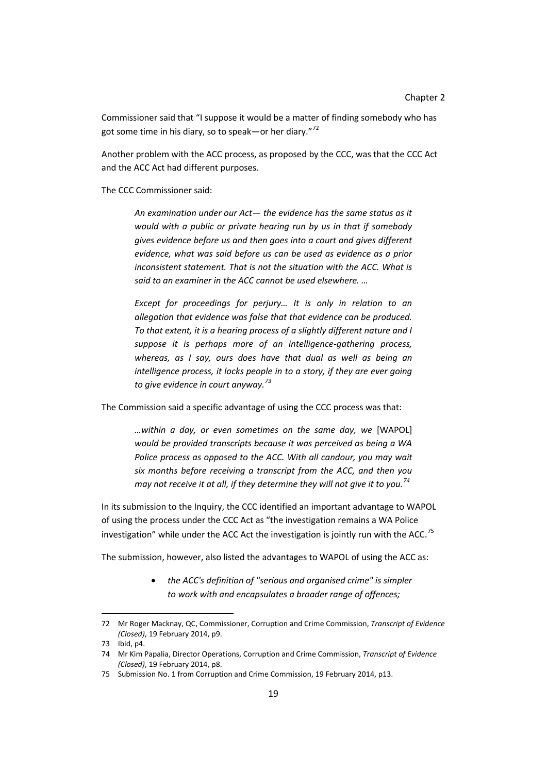Commissioner said that "I suppose it would be a matter of finding somebody who has got some time in his diary, so to speak—or her diary. $72$ 

Another problem with the ACC process, as proposed by the CCC, was that the CCC Act and the ACC Act had different purposes.

The CCC Commissioner said:

*An examination under our Act— the evidence has the same status as it would with a public or private hearing run by us in that if somebody gives evidence before us and then goes into a court and gives different evidence, what was said before us can be used as evidence as a prior inconsistent statement. That is not the situation with the ACC. What is said to an examiner in the ACC cannot be used elsewhere. …*

*Except for proceedings for perjury… It is only in relation to an allegation that evidence was false that that evidence can be produced. To that extent, it is a hearing process of a slightly different nature and I suppose it is perhaps more of an intelligence-gathering process, whereas, as I say, ours does have that dual as well as being an*  intelligence process, it locks people in to a story, if they are ever going *to give evidence in court anyway. [73](#page-34-0)*

The Commission said a specific advantage of using the CCC process was that:

*…within a day, or even sometimes on the same day, we* [WAPOL] *would be provided transcripts because it was perceived as being a WA Police process as opposed to the ACC. With all candour, you may wait six months before receiving a transcript from the ACC, and then you may not receive it at all, if they determine they will not give it to you.[74](#page-34-1)*

In its submission to the Inquiry, the CCC identified an important advantage to WAPOL of using the process under the CCC Act as "the investigation remains a WA Police investigation" while under the ACC Act the investigation is jointly run with the ACC.<sup>[75](#page-34-2)</sup>

The submission, however, also listed the advantages to WAPOL of using the ACC as:

• *the ACC's definition of "serious and organised crime" is simpler to work with and encapsulates a broader range of offences;*

<sup>72</sup> Mr Roger Macknay, QC, Commissioner, Corruption and Crime Commission, *Transcript of Evidence (Closed)*, 19 February 2014, p9.

<span id="page-34-3"></span><span id="page-34-0"></span><sup>73</sup> Ibid, p4.

<span id="page-34-1"></span><sup>74</sup> Mr Kim Papalia, Director Operations, Corruption and Crime Commission, *Transcript of Evidence (Closed)*, 19 February 2014, p8.

<span id="page-34-2"></span><sup>75</sup> Submission No. 1 from Corruption and Crime Commission, 19 February 2014, p13.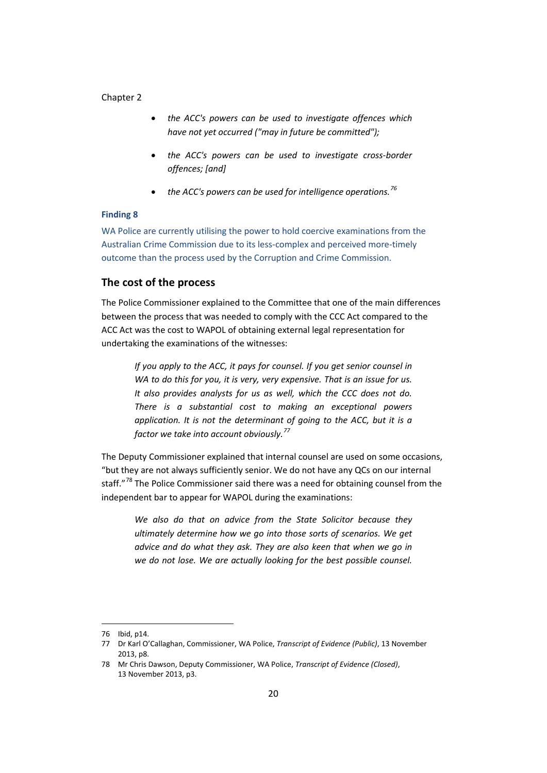- *the ACC's powers can be used to investigate offences which have not yet occurred ("may in future be committed");*
- *the ACC's powers can be used to investigate cross-border offences; [and]*
- *the ACC's powers can be used for intelligence operations. [76](#page-34-3)*

#### <span id="page-35-0"></span>**Finding 8**

WA Police are currently utilising the power to hold coercive examinations from the Australian Crime Commission due to its less-complex and perceived more-timely outcome than the process used by the Corruption and Crime Commission.

#### **The cost of the process**

The Police Commissioner explained to the Committee that one of the main differences between the process that was needed to comply with the CCC Act compared to the ACC Act was the cost to WAPOL of obtaining external legal representation for undertaking the examinations of the witnesses:

*If you apply to the ACC, it pays for counsel. If you get senior counsel in WA to do this for you, it is very, very expensive. That is an issue for us. It also provides analysts for us as well, which the CCC does not do. There is a substantial cost to making an exceptional powers application. It is not the determinant of going to the ACC, but it is a factor we take into account obviously. [77](#page-35-1)*

The Deputy Commissioner explained that internal counsel are used on some occasions, "but they are not always sufficiently senior. We do not have any QCs on our internal staff."<sup>[78](#page-35-2)</sup> The Police Commissioner said there was a need for obtaining counsel from the independent bar to appear for WAPOL during the examinations:

*We also do that on advice from the State Solicitor because they ultimately determine how we go into those sorts of scenarios. We get advice and do what they ask. They are also keen that when we go in we do not lose. We are actually looking for the best possible counsel.* 

<span id="page-35-3"></span><sup>76</sup> Ibid, p14.

<span id="page-35-1"></span><sup>77</sup> Dr Karl O'Callaghan, Commissioner, WA Police, *Transcript of Evidence (Public)*, 13 November 2013, p8.

<span id="page-35-2"></span><sup>78</sup> Mr Chris Dawson, Deputy Commissioner, WA Police, *Transcript of Evidence (Closed)*, 13 November 2013, p3.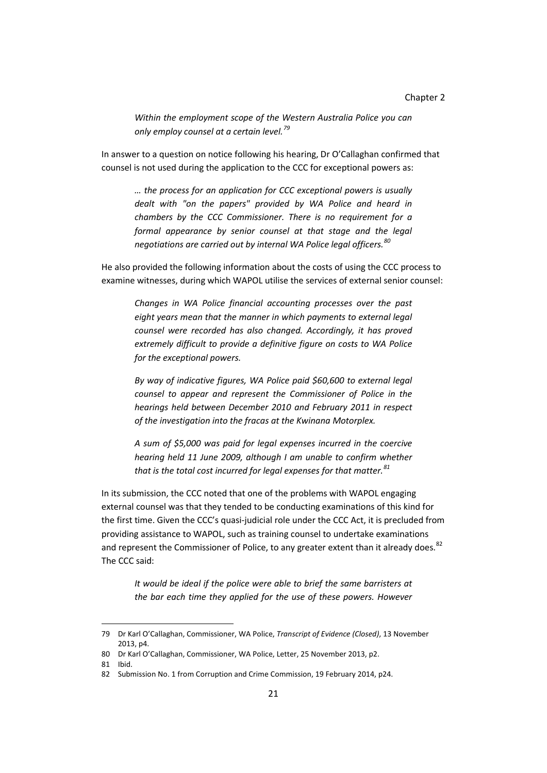*Within the employment scope of the Western Australia Police you can only employ counsel at a certain level.[79](#page-35-3)*

In answer to a question on notice following his hearing, Dr O'Callaghan confirmed that counsel is not used during the application to the CCC for exceptional powers as:

*… the process for an application for CCC exceptional powers is usually dealt with "on the papers" provided by WA Police and heard in chambers by the CCC Commissioner. There is no requirement for a formal appearance by senior counsel at that stage and the legal negotiations are carried out by internal WA Police legal officers.[80](#page-36-0)*

He also provided the following information about the costs of using the CCC process to examine witnesses, during which WAPOL utilise the services of external senior counsel:

*Changes in WA Police financial accounting processes over the past eight years mean that the manner in which payments to external legal counsel were recorded has also changed. Accordingly, it has proved extremely difficult to provide a definitive figure on costs to WA Police for the exceptional powers.*

*By way of indicative figures, WA Police paid \$60,600 to external legal counsel to appear and represent the Commissioner of Police in the hearings held between December 2010 and February 2011 in respect of the investigation into the fracas at the Kwinana Motorplex.*

*A sum of \$5,000 was paid for legal expenses incurred in the coercive hearing held 11 June 2009, although I am unable to confirm whether that is the total cost incurred for legal expenses for that matter. [81](#page-36-1)*

In its submission, the CCC noted that one of the problems with WAPOL engaging external counsel was that they tended to be conducting examinations of this kind for the first time. Given the CCC's quasi-judicial role under the CCC Act, it is precluded from providing assistance to WAPOL, such as training counsel to undertake examinations and represent the Commissioner of Police, to any greater extent than it already does.<sup>[82](#page-36-2)</sup> The CCC said:

*It would be ideal if the police were able to brief the same barristers at the bar each time they applied for the use of these powers. However* 

<sup>79</sup> Dr Karl O'Callaghan, Commissioner, WA Police, *Transcript of Evidence (Closed)*, 13 November 2013, p4.

<sup>80</sup> Dr Karl O'Callaghan, Commissioner, WA Police, Letter, 25 November 2013, p2.

<span id="page-36-0"></span><sup>81</sup> Ibid.

<span id="page-36-2"></span><span id="page-36-1"></span><sup>82</sup> Submission No. 1 from Corruption and Crime Commission, 19 February 2014, p24.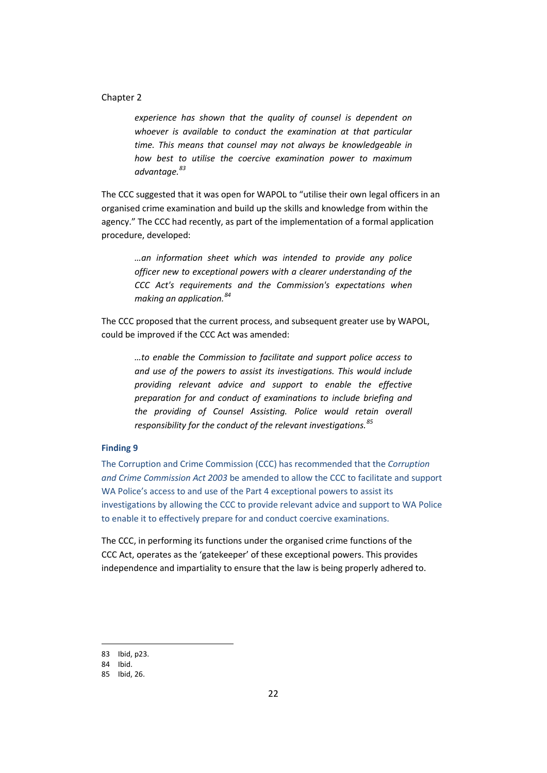*experience has shown that the quality of counsel is dependent on*  whoever is available to conduct the examination at that particular *time. This means that counsel may not always be knowledgeable in how best to utilise the coercive examination power to maximum advantage. [83](#page-36-0)*

The CCC suggested that it was open for WAPOL to "utilise their own legal officers in an organised crime examination and build up the skills and knowledge from within the agency." The CCC had recently, as part of the implementation of a formal application procedure, developed:

*…an information sheet which was intended to provide any police officer new to exceptional powers with a clearer understanding of the CCC Act's requirements and the Commission's expectations when making an application. [84](#page-37-1)*

The CCC proposed that the current process, and subsequent greater use by WAPOL, could be improved if the CCC Act was amended:

*…to enable the Commission to facilitate and support police access to and use of the powers to assist its investigations. This would include providing relevant advice and support to enable the effective preparation for and conduct of examinations to include briefing and the providing of Counsel Assisting. Police would retain overall responsibility for the conduct of the relevant investigations. [85](#page-37-2)*

#### <span id="page-37-0"></span>**Finding 9**

The Corruption and Crime Commission (CCC) has recommended that the *Corruption and Crime Commission Act 2003* be amended to allow the CCC to facilitate and support WA Police's access to and use of the Part 4 exceptional powers to assist its investigations by allowing the CCC to provide relevant advice and support to WA Police to enable it to effectively prepare for and conduct coercive examinations.

The CCC, in performing its functions under the organised crime functions of the CCC Act, operates as the 'gatekeeper' of these exceptional powers. This provides independence and impartiality to ensure that the law is being properly adhered to.

<span id="page-37-3"></span><sup>83</sup> Ibid, p23.

<span id="page-37-1"></span><sup>84</sup> Ibid.

<span id="page-37-2"></span><sup>85</sup> Ibid, 26.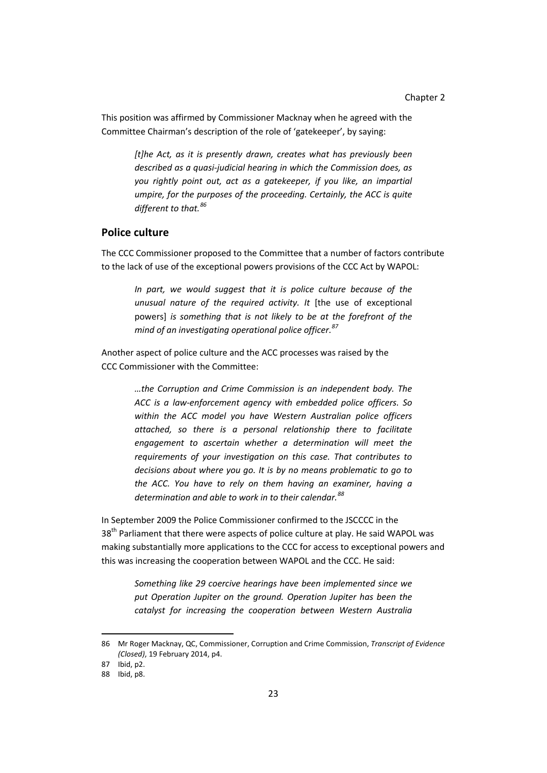This position was affirmed by Commissioner Macknay when he agreed with the Committee Chairman's description of the role of 'gatekeeper', by saying:

> *[t]he Act, as it is presently drawn, creates what has previously been described as a quasi-judicial hearing in which the Commission does, as you rightly point out, act as a gatekeeper, if you like, an impartial umpire, for the purposes of the proceeding. Certainly, the ACC is quite different to that. [86](#page-37-3)*

## **Police culture**

The CCC Commissioner proposed to the Committee that a number of factors contribute to the lack of use of the exceptional powers provisions of the CCC Act by WAPOL:

*In part, we would suggest that it is police culture because of the unusual nature of the required activity. It* [the use of exceptional powers] *is something that is not likely to be at the forefront of the mind of an investigating operational police officer. [87](#page-38-0)*

Another aspect of police culture and the ACC processes was raised by the CCC Commissioner with the Committee:

> *…the Corruption and Crime Commission is an independent body. The ACC is a law-enforcement agency with embedded police officers. So within the ACC model you have Western Australian police officers attached, so there is a personal relationship there to facilitate engagement to ascertain whether a determination will meet the requirements of your investigation on this case. That contributes to decisions about where you go. It is by no means problematic to go to the ACC. You have to rely on them having an examiner, having a determination and able to work in to their calendar.[88](#page-38-1)*

In September 2009 the Police Commissioner confirmed to the JSCCCC in the 38<sup>th</sup> Parliament that there were aspects of police culture at play. He said WAPOL was making substantially more applications to the CCC for access to exceptional powers and this was increasing the cooperation between WAPOL and the CCC. He said:

*Something like 29 coercive hearings have been implemented since we put Operation Jupiter on the ground. Operation Jupiter has been the catalyst for increasing the cooperation between Western Australia* 

<span id="page-38-2"></span><sup>86</sup> Mr Roger Macknay, QC, Commissioner, Corruption and Crime Commission, *Transcript of Evidence (Closed)*, 19 February 2014, p4.

<sup>87</sup> Ibid, p2.

<span id="page-38-1"></span><span id="page-38-0"></span><sup>88</sup> Ibid, p8.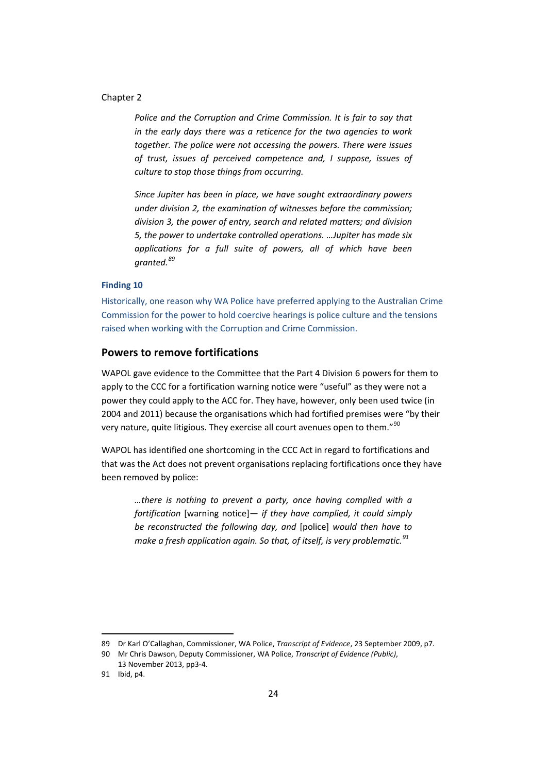*Police and the Corruption and Crime Commission. It is fair to say that in the early days there was a reticence for the two agencies to work together. The police were not accessing the powers. There were issues of trust, issues of perceived competence and, I suppose, issues of culture to stop those things from occurring.* 

*Since Jupiter has been in place, we have sought extraordinary powers under division 2, the examination of witnesses before the commission; division 3, the power of entry, search and related matters; and division 5, the power to undertake controlled operations. …Jupiter has made six applications for a full suite of powers, all of which have been granted.[89](#page-38-2)*

#### <span id="page-39-0"></span>**Finding 10**

Historically, one reason why WA Police have preferred applying to the Australian Crime Commission for the power to hold coercive hearings is police culture and the tensions raised when working with the Corruption and Crime Commission.

## **Powers to remove fortifications**

WAPOL gave evidence to the Committee that the Part 4 Division 6 powers for them to apply to the CCC for a fortification warning notice were "useful" as they were not a power they could apply to the ACC for. They have, however, only been used twice (in 2004 and 2011) because the organisations which had fortified premises were "by their very nature, quite litigious. They exercise all court avenues open to them."<sup>[90](#page-39-1)</sup>

WAPOL has identified one shortcoming in the CCC Act in regard to fortifications and that was the Act does not prevent organisations replacing fortifications once they have been removed by police:

*…there is nothing to prevent a party, once having complied with a fortification* [warning notice]— *if they have complied, it could simply be reconstructed the following day, and* [police] *would then have to make a fresh application again. So that, of itself, is very problematic.[91](#page-39-2)*

<span id="page-39-3"></span><sup>89</sup> Dr Karl O'Callaghan, Commissioner, WA Police, *Transcript of Evidence*, 23 September 2009, p7.

<span id="page-39-1"></span><sup>90</sup> Mr Chris Dawson, Deputy Commissioner, WA Police, *Transcript of Evidence (Public)*,

<sup>13</sup> November 2013, pp3-4.

<span id="page-39-2"></span><sup>91</sup> Ibid, p4.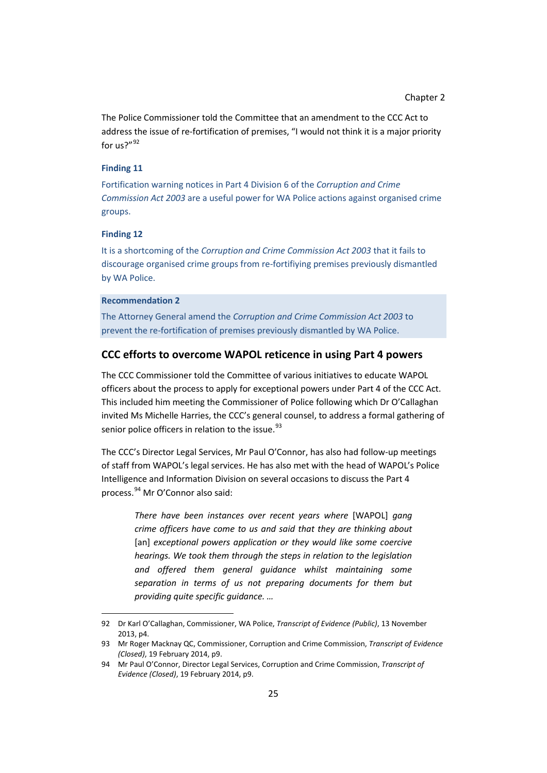The Police Commissioner told the Committee that an amendment to the CCC Act to address the issue of re-fortification of premises, "I would not think it is a major priority for  $\mu$ s<sup>[92](#page-39-3)</sup>

#### <span id="page-40-0"></span>**Finding 11**

Fortification warning notices in Part 4 Division 6 of the *Corruption and Crime Commission Act 2003* are a useful power for WA Police actions against organised crime groups.

#### <span id="page-40-1"></span>**Finding 12**

 $\overline{a}$ 

It is a shortcoming of the *Corruption and Crime Commission Act 2003* that it fails to discourage organised crime groups from re-fortifiying premises previously dismantled by WA Police.

#### <span id="page-40-2"></span>**Recommendation 2**

The Attorney General amend the *Corruption and Crime Commission Act 2003* to prevent the re-fortification of premises previously dismantled by WA Police.

#### **CCC efforts to overcome WAPOL reticence in using Part 4 powers**

The CCC Commissioner told the Committee of various initiatives to educate WAPOL officers about the process to apply for exceptional powers under Part 4 of the CCC Act. This included him meeting the Commissioner of Police following which Dr O'Callaghan invited Ms Michelle Harries, the CCC's general counsel, to address a formal gathering of senior police officers in relation to the issue.  $93$ 

The CCC's Director Legal Services, Mr Paul O'Connor, has also had follow-up meetings of staff from WAPOL's legal services. He has also met with the head of WAPOL's Police Intelligence and Information Division on several occasions to discuss the Part 4 process. [94](#page-40-4) Mr O'Connor also said:

*There have been instances over recent years where* [WAPOL] *gang crime officers have come to us and said that they are thinking about*  [an] *exceptional powers application or they would like some coercive hearings. We took them through the steps in relation to the legislation and offered them general guidance whilst maintaining some separation in terms of us not preparing documents for them but providing quite specific guidance. …*

<sup>92</sup> Dr Karl O'Callaghan, Commissioner, WA Police, *Transcript of Evidence (Public)*, 13 November 2013, p4.

<span id="page-40-5"></span><span id="page-40-3"></span><sup>93</sup> Mr Roger Macknay QC, Commissioner, Corruption and Crime Commission, *Transcript of Evidence (Closed)*, 19 February 2014, p9.

<span id="page-40-4"></span><sup>94</sup> Mr Paul O'Connor, Director Legal Services, Corruption and Crime Commission, *Transcript of Evidence (Closed)*, 19 February 2014, p9.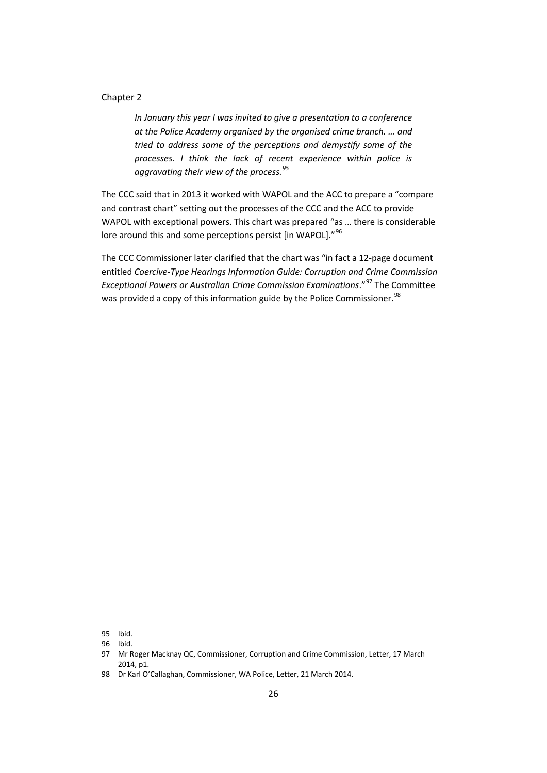*In January this year I was invited to give a presentation to a conference at the Police Academy organised by the organised crime branch. … and tried to address some of the perceptions and demystify some of the processes. I think the lack of recent experience within police is aggravating their view of the process.[95](#page-40-5)*

The CCC said that in 2013 it worked with WAPOL and the ACC to prepare a "compare and contrast chart" setting out the processes of the CCC and the ACC to provide WAPOL with exceptional powers. This chart was prepared "as … there is considerable lore around this and some perceptions persist [in WAPOL]."<sup>[96](#page-41-0)</sup>

The CCC Commissioner later clarified that the chart was "in fact a 12-page document entitled *Coercive-Type Hearings Information Guide: Corruption and Crime Commission Exceptional Powers or Australian Crime Commission Examinations*." [97](#page-41-1) The Committee was provided a copy of this information guide by the Police Commissioner.<sup>[98](#page-41-2)</sup>

<span id="page-41-3"></span><sup>95</sup> Ibid.

<span id="page-41-0"></span><sup>96</sup> Ibid.

<span id="page-41-1"></span><sup>97</sup> Mr Roger Macknay QC, Commissioner, Corruption and Crime Commission, Letter, 17 March 2014, p1.

<span id="page-41-2"></span><sup>98</sup> Dr Karl O'Callaghan, Commissioner, WA Police, Letter, 21 March 2014.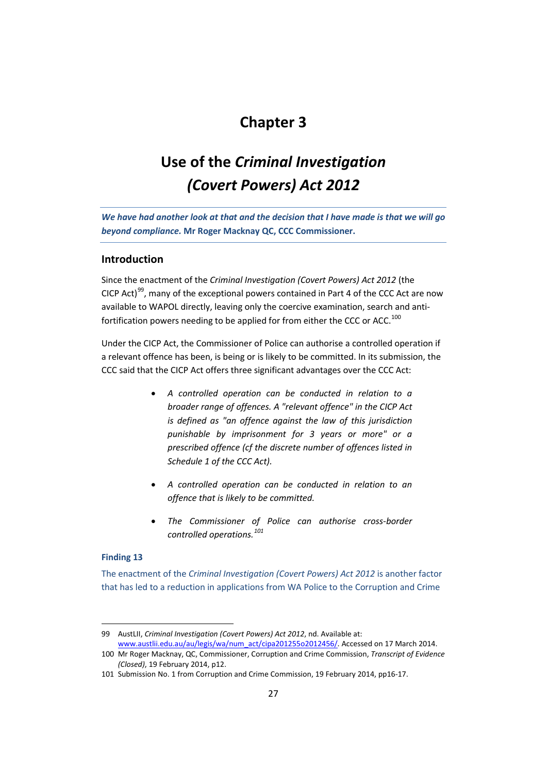# **Use of the** *Criminal Investigation (Covert Powers) Act 2012*

*We have had another look at that and the decision that I have made is that we will go beyond compliance.* **Mr Roger Macknay QC, CCC Commissioner.**

#### **Introduction**

Since the enactment of the *Criminal Investigation (Covert Powers) Act 2012* (the CICP Act) $99$ , many of the exceptional powers contained in Part 4 of the CCC Act are now available to WAPOL directly, leaving only the coercive examination, search and antifortification powers needing to be applied for from either the CCC or ACC.  $^{100}$  $^{100}$  $^{100}$ 

Under the CICP Act, the Commissioner of Police can authorise a controlled operation if a relevant offence has been, is being or is likely to be committed. In its submission, the CCC said that the CICP Act offers three significant advantages over the CCC Act:

- *A controlled operation can be conducted in relation to a broader range of offences. A "relevant offence" in the CICP Act is defined as "an offence against the law of this jurisdiction punishable by imprisonment for 3 years or more" or a prescribed offence (cf the discrete number of offences listed in Schedule 1 of the CCC Act).*
- *A controlled operation can be conducted in relation to an offence that is likely to be committed.*
- *The Commissioner of Police can authorise cross-border controlled operations.[101](#page-42-2)*

### <span id="page-42-0"></span>**Finding 13**

 $\overline{a}$ 

<span id="page-42-3"></span>The enactment of the *Criminal Investigation (Covert Powers) Act 2012* is another factor that has led to a reduction in applications from WA Police to the Corruption and Crime

<sup>99</sup> AustLII, *Criminal Investigation (Covert Powers) Act 2012*, nd. Available at: [www.austlii.edu.au/au/legis/wa/num\\_act/cipa201255o2012456/.](http://www.austlii.edu.au/au/legis/wa/num_act/cipa201255o2012456/) Accessed on 17 March 2014.

<span id="page-42-1"></span><sup>100</sup> Mr Roger Macknay, QC, Commissioner, Corruption and Crime Commission, *Transcript of Evidence (Closed)*, 19 February 2014, p12.

<span id="page-42-2"></span><sup>101</sup> Submission No. 1 from Corruption and Crime Commission, 19 February 2014, pp16-17.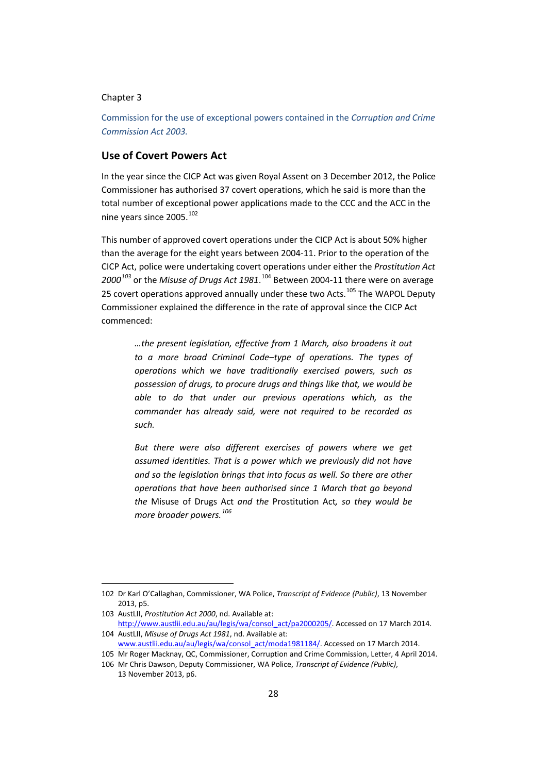<span id="page-43-4"></span> $\overline{a}$ 

Commission for the use of exceptional powers contained in the *Corruption and Crime Commission Act 2003.*

## **Use of Covert Powers Act**

In the year since the CICP Act was given Royal Assent on 3 December 2012, the Police Commissioner has authorised 37 covert operations, which he said is more than the total number of exceptional power applications made to the CCC and the ACC in the nine years since 2005. <sup>[102](#page-42-3)</sup>

This number of approved covert operations under the CICP Act is about 50% higher than the average for the eight years between 2004-11. Prior to the operation of the CICP Act, police were undertaking covert operations under either the *Prostitution Act*  2000<sup>[103](#page-43-0)</sup> or the *Misuse of Drugs Act 1981*.<sup>[104](#page-43-1)</sup> Between 2004-11 there were on average 25 covert operations approved annually under these two Acts.<sup>[105](#page-43-2)</sup> The WAPOL Deputy Commissioner explained the difference in the rate of approval since the CICP Act commenced:

*…the present legislation, effective from 1 March, also broadens it out to a more broad Criminal Code–type of operations. The types of operations which we have traditionally exercised powers, such as possession of drugs, to procure drugs and things like that, we would be able to do that under our previous operations which, as the commander has already said, were not required to be recorded as such.* 

*But there were also different exercises of powers where we get assumed identities. That is a power which we previously did not have and so the legislation brings that into focus as well. So there are other operations that have been authorised since 1 March that go beyond the* Misuse of Drugs Act *and the* Prostitution Act*, so they would be more broader powers.[106](#page-43-3)*

<sup>102</sup> Dr Karl O'Callaghan, Commissioner, WA Police, *Transcript of Evidence (Public)*, 13 November 2013, p5.

<span id="page-43-0"></span><sup>103</sup> AustLII, *Prostitution Act 2000*, nd. Available at: [http://www.austlii.edu.au/au/legis/wa/consol\\_act/pa2000205/.](http://www.austlii.edu.au/au/legis/wa/consol_act/pa2000205/) Accessed on 17 March 2014.

<span id="page-43-1"></span><sup>104</sup> AustLII, *Misuse of Drugs Act 1981*, nd. Available at: [www.austlii.edu.au/au/legis/wa/consol\\_act/moda1981184/.](http://www.austlii.edu.au/au/legis/wa/consol_act/moda1981184/) Accessed on 17 March 2014. 105 Mr Roger Macknay, QC, Commissioner, Corruption and Crime Commission, Letter, 4 April 2014.

<span id="page-43-3"></span><span id="page-43-2"></span><sup>106</sup> Mr Chris Dawson, Deputy Commissioner, WA Police, *Transcript of Evidence (Public)*, 13 November 2013, p6.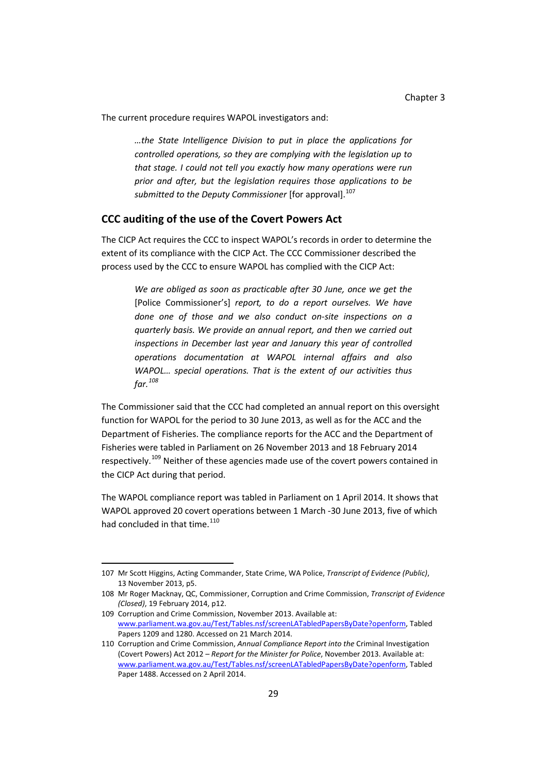The current procedure requires WAPOL investigators and:

*…the State Intelligence Division to put in place the applications for controlled operations, so they are complying with the legislation up to that stage. I could not tell you exactly how many operations were run prior and after, but the legislation requires those applications to be submitted to the Deputy Commissioner* [for approval]. [107](#page-43-4)

#### **CCC auditing of the use of the Covert Powers Act**

The CICP Act requires the CCC to inspect WAPOL's records in order to determine the extent of its compliance with the CICP Act. The CCC Commissioner described the process used by the CCC to ensure WAPOL has complied with the CICP Act:

*We are obliged as soon as practicable after 30 June, once we get the*  [Police Commissioner's] *report, to do a report ourselves. We have done one of those and we also conduct on-site inspections on a quarterly basis. We provide an annual report, and then we carried out inspections in December last year and January this year of controlled operations documentation at WAPOL internal affairs and also WAPOL… special operations. That is the extent of our activities thus far.[108](#page-44-0)*

The Commissioner said that the CCC had completed an annual report on this oversight function for WAPOL for the period to 30 June 2013, as well as for the ACC and the Department of Fisheries. The compliance reports for the ACC and the Department of Fisheries were tabled in Parliament on 26 November 2013 and 18 February 2014 respectively.<sup>[109](#page-44-1)</sup> Neither of these agencies made use of the covert powers contained in the CICP Act during that period.

The WAPOL compliance report was tabled in Parliament on 1 April 2014. It shows that WAPOL approved 20 covert operations between 1 March -30 June 2013, five of which had concluded in that time. $110$ 

 $\ddot{\phantom{a}}$ 

<sup>107</sup> Mr Scott Higgins, Acting Commander, State Crime, WA Police, *Transcript of Evidence (Public)*, 13 November 2013, p5.

<span id="page-44-0"></span><sup>108</sup> Mr Roger Macknay, QC, Commissioner, Corruption and Crime Commission, *Transcript of Evidence (Closed)*, 19 February 2014, p12.

<span id="page-44-3"></span><span id="page-44-1"></span><sup>109</sup> Corruption and Crime Commission, November 2013. Available at: [www.parliament.wa.gov.au/Test/Tables.nsf/screenLATabledPapersByDate?openform,](http://www.parliament.wa.gov.au/Test/Tables.nsf/screenLATabledPapersByDate?openform) Tabled Papers 1209 and 1280. Accessed on 21 March 2014.

<span id="page-44-2"></span><sup>110</sup> Corruption and Crime Commission, *Annual Compliance Report into the* Criminal Investigation (Covert Powers) Act 2012 *– Report for the Minister for Police*, November 2013. Available at: [www.parliament.wa.gov.au/Test/Tables.nsf/screenLATabledPapersByDate?openform,](http://www.parliament.wa.gov.au/Test/Tables.nsf/screenLATabledPapersByDate?openform) Tabled Paper 1488. Accessed on 2 April 2014.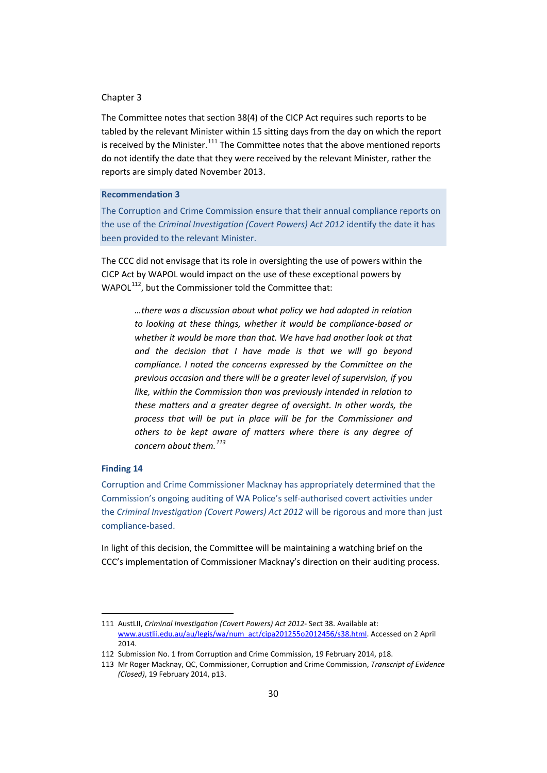The Committee notes that section 38(4) of the CICP Act requires such reports to be tabled by the relevant Minister within 15 sitting days from the day on which the report is received by the Minister.<sup>[111](#page-44-3)</sup> The Committee notes that the above mentioned reports do not identify the date that they were received by the relevant Minister, rather the reports are simply dated November 2013.

#### <span id="page-45-0"></span>**Recommendation 3**

The Corruption and Crime Commission ensure that their annual compliance reports on the use of the *Criminal Investigation (Covert Powers) Act 2012* identify the date it has been provided to the relevant Minister.

The CCC did not envisage that its role in oversighting the use of powers within the CICP Act by WAPOL would impact on the use of these exceptional powers by WAPOL<sup>112</sup>, but the Commissioner told the Committee that:

> *…there was a discussion about what policy we had adopted in relation to looking at these things, whether it would be compliance-based or whether it would be more than that. We have had another look at that and the decision that I have made is that we will go beyond compliance. I noted the concerns expressed by the Committee on the previous occasion and there will be a greater level of supervision, if you like, within the Commission than was previously intended in relation to these matters and a greater degree of oversight. In other words, the process that will be put in place will be for the Commissioner and others to be kept aware of matters where there is any degree of concern about them.[113](#page-45-3)*

#### <span id="page-45-1"></span>**Finding 14**

 $\overline{a}$ 

Corruption and Crime Commissioner Macknay has appropriately determined that the Commission's ongoing auditing of WA Police's self-authorised covert activities under the *Criminal Investigation (Covert Powers) Act 2012* will be rigorous and more than just compliance-based.

In light of this decision, the Committee will be maintaining a watching brief on the CCC's implementation of Commissioner Macknay's direction on their auditing process.

<sup>111</sup> AustLII, *Criminal Investigation (Covert Powers) Act 2012*- Sect 38. Available at: [www.austlii.edu.au/au/legis/wa/num\\_act/cipa201255o2012456/s38.html.](http://www.austlii.edu.au/au/legis/wa/num_act/cipa201255o2012456/s38.html) Accessed on 2 April 2014.

<span id="page-45-2"></span><sup>112</sup> Submission No. 1 from Corruption and Crime Commission, 19 February 2014, p18.

<span id="page-45-4"></span><span id="page-45-3"></span><sup>113</sup> Mr Roger Macknay, QC, Commissioner, Corruption and Crime Commission, *Transcript of Evidence (Closed)*, 19 February 2014, p13.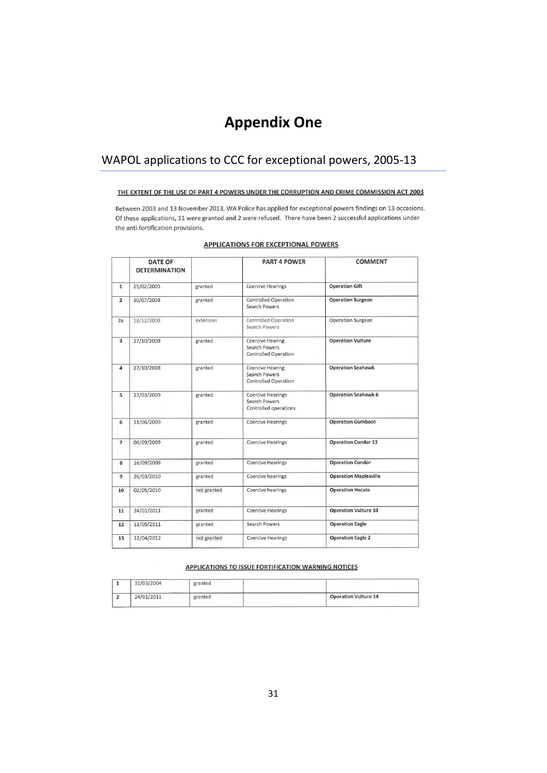# **Appendix One**

# WAPOL applications to CCC for exceptional powers, 2005-13

#### THE EXTENT OF THE USE OF PART 4 POWERS UNDER THE CORRUPTION AND CRIME COMMISSION ACT 2003

Between 2003 and 13 November 2013, WA Police has applied for exceptional powers findings on 13 occasions. Of these applications, 11 were granted and 2 were refused. There have been 2 successful applications under the anti fortification provisions.

|                | <b>DATE OF</b><br><b>DETERMINATION</b> |             | <b>PART 4 POWER</b>                                                     | <b>COMMENT</b>               |  |
|----------------|----------------------------------------|-------------|-------------------------------------------------------------------------|------------------------------|--|
| $\mathbf{1}$   | 25/02/2005                             | granted     | <b>Coercive Hearings</b>                                                | <b>Operation Gift</b>        |  |
| $\overline{2}$ | 30/07/2008                             | granted     | <b>Controlled Operation</b><br>Search Powers                            | <b>Operation Surgeon</b>     |  |
| 2a             | 18/12/2008                             | extension   | Controlled Operation<br>Search Powers                                   | <b>Operation Surgeon</b>     |  |
| 3              | 27/10/2008                             | granted     | <b>Coercive Hearing</b><br>Search Powers<br><b>Controlled Operation</b> | <b>Operation Vulture</b>     |  |
| 4              | 27/10/2008                             | granted     | <b>Coercive Hearing</b><br>Search Powers<br><b>Controlled Operation</b> | <b>Operation Seahawk</b>     |  |
| 5              | 27/03/2009                             | granted     | <b>Coercive Hearings</b><br>Search Powers<br>Controlled operations      | <b>Operation Seahawk 6</b>   |  |
| 6              | 11/06/2009                             | granted     | <b>Coercive Hearings</b>                                                | <b>Operation Gumboot</b>     |  |
| $\overline{7}$ | 04/09/2009                             | granted     | <b>Coercive Hearings</b>                                                | <b>Operation Condor 13</b>   |  |
| 8              | 16/09/2009                             | granted     | <b>Coercive Hearings</b>                                                | <b>Operation Condor</b>      |  |
| 9              | 26/03/2010                             | granted     | Coercive hearings                                                       | <b>Operation Maplesville</b> |  |
| 10             | 02/05/2010                             | not granted | Coercive hearings                                                       | <b>Operation Hecate</b>      |  |
| 11             | 24/01/2011                             | granted     | <b>Coercive Hearings</b>                                                | <b>Operation Vulture 33</b>  |  |
| 12             | 13/05/2011                             | granted     | Search Powers                                                           | <b>Operation Eagle</b>       |  |
| 13             | 12/04/2012                             | not granted | <b>Coercive Hearings</b>                                                | <b>Operation Eagle 2</b>     |  |

#### **APPLICATIONS FOR EXCEPTIONAL POWERS**

#### **APPLICATIONS TO ISSUE FORTIFICATION WARNING NOTICES**

| 31/03/2004 | granted |                             |
|------------|---------|-----------------------------|
| 24/01/2011 | granted | <b>Operation Vulture 14</b> |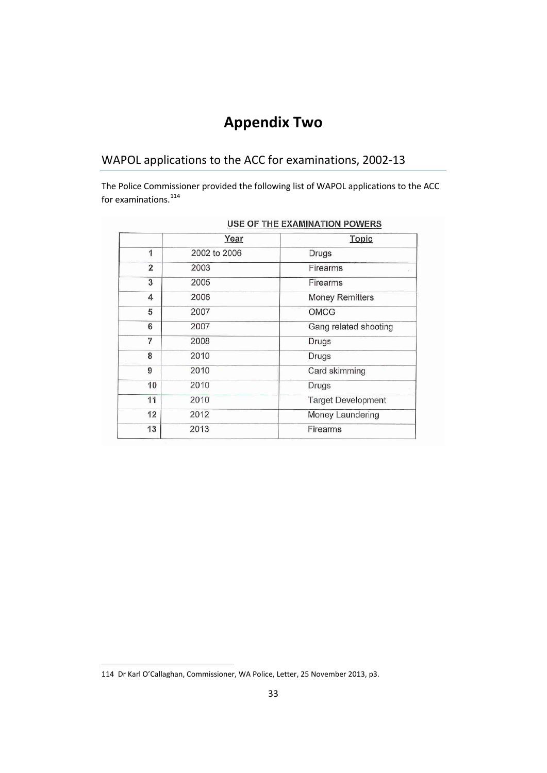# **Appendix Two**

# WAPOL applications to the ACC for examinations, 2002-13

The Police Commissioner provided the following list of WAPOL applications to the ACC for examinations. $^{114}$  $^{114}$  $^{114}$ 

|                | Year         | <b>Topic</b>              |
|----------------|--------------|---------------------------|
| 1              | 2002 to 2006 | Drugs                     |
| $\overline{2}$ | 2003         | Firearms                  |
| 3<br>2005      |              | Firearms                  |
| 4              | 2006         | <b>Money Remitters</b>    |
| 5              | 2007         | OMCG                      |
| 6              | 2007         | Gang related shooting     |
| 7              | 2008         | Drugs                     |
| 8              | 2010         | Drugs                     |
| 9              | 2010         | Card skimming             |
| 10             | 2010         | Drugs                     |
| 11             | 2010         | <b>Target Development</b> |
| 12             | 2012         | Money Laundering          |
| 13             | 2013         | Firearms                  |

## **USE OF THE EXAMINATION POWERS**

<span id="page-48-0"></span><sup>114</sup> Dr Karl O'Callaghan, Commissioner, WA Police, Letter, 25 November 2013, p3.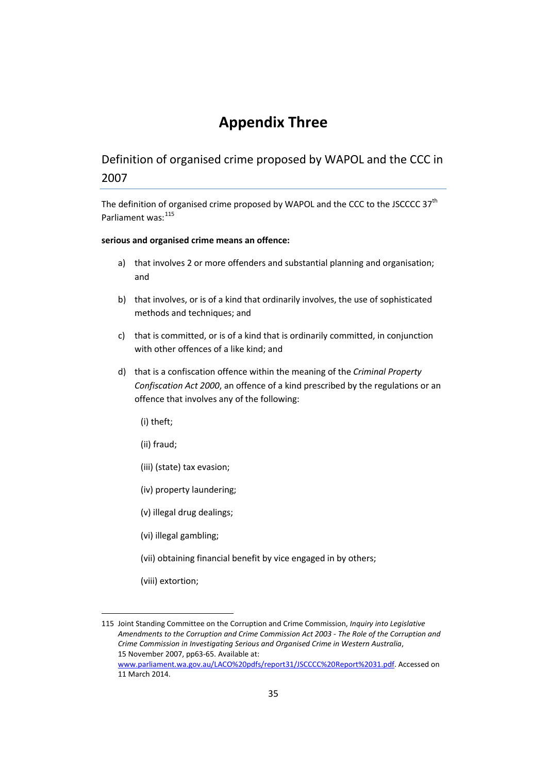# **Appendix Three**

## Definition of organised crime proposed by WAPOL and the CCC in 2007

The definition of organised crime proposed by WAPOL and the CCC to the JSCCCC  $37<sup>th</sup>$ Parliament was: [115](#page-48-0)

**serious and organised crime means an offence:**

- a) that involves 2 or more offenders and substantial planning and organisation; and
- b) that involves, or is of a kind that ordinarily involves, the use of sophisticated methods and techniques; and
- c) that is committed, or is of a kind that is ordinarily committed, in conjunction with other offences of a like kind; and
- d) that is a confiscation offence within the meaning of the *Criminal Property Confiscation Act 2000*, an offence of a kind prescribed by the regulations or an offence that involves any of the following:

(i) theft;

- (ii) fraud;
- (iii) (state) tax evasion;
- (iv) property laundering;
- (v) illegal drug dealings;
- (vi) illegal gambling;
- (vii) obtaining financial benefit by vice engaged in by others;
- (viii) extortion;

<sup>115</sup> Joint Standing Committee on the Corruption and Crime Commission, *Inquiry into Legislative Amendments to the Corruption and Crime Commission Act 2003 - The Role of the Corruption and Crime Commission in Investigating Serious and Organised Crime in Western Australia*, 15 November 2007, pp63-65. Available at: [www.parliament.wa.gov.au/LACO%20pdfs/report31/JSCCCC%20Report%2031.pdf.](http://www.parliament.wa.gov.au/LACO%20pdfs/report31/JSCCCC%20Report%2031.pdf) Accessed on

<sup>11</sup> March 2014.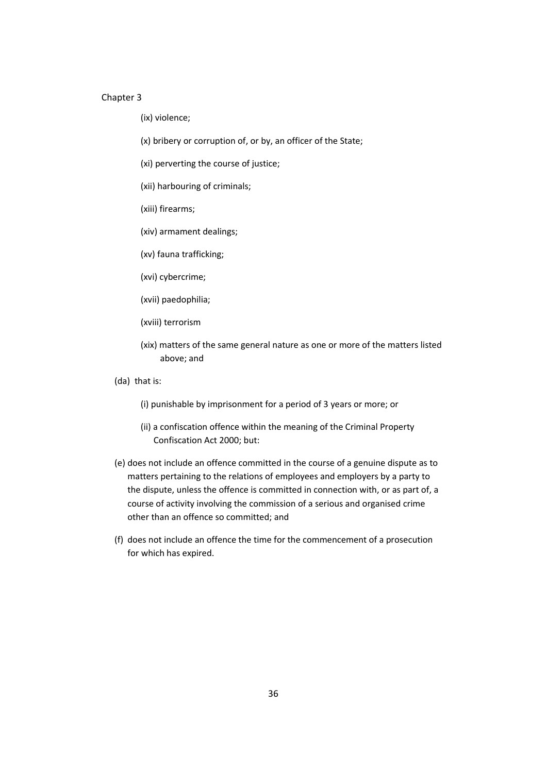(ix) violence;

- (x) bribery or corruption of, or by, an officer of the State;
- (xi) perverting the course of justice;
- (xii) harbouring of criminals;
- (xiii) firearms;
- (xiv) armament dealings;
- (xv) fauna trafficking;
- (xvi) cybercrime;
- (xvii) paedophilia;
- (xviii) terrorism
- (xix) matters of the same general nature as one or more of the matters listed above; and
- (da) that is:
	- (i) punishable by imprisonment for a period of 3 years or more; or
	- (ii) a confiscation offence within the meaning of the Criminal Property Confiscation Act 2000; but:
- (e) does not include an offence committed in the course of a genuine dispute as to matters pertaining to the relations of employees and employers by a party to the dispute, unless the offence is committed in connection with, or as part of, a course of activity involving the commission of a serious and organised crime other than an offence so committed; and
- (f) does not include an offence the time for the commencement of a prosecution for which has expired.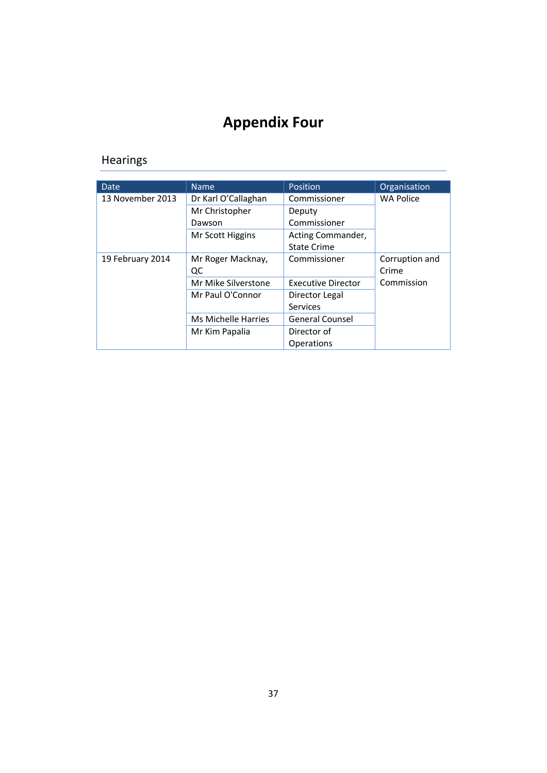# **Appendix Four**

# Hearings

| Date             | <b>Name</b>                | Position                  | Organisation     |  |
|------------------|----------------------------|---------------------------|------------------|--|
| 13 November 2013 | Dr Karl O'Callaghan        | Commissioner              | <b>WA Police</b> |  |
|                  | Mr Christopher             | Deputy                    |                  |  |
|                  | Dawson                     | Commissioner              |                  |  |
|                  | Mr Scott Higgins           | Acting Commander,         |                  |  |
|                  |                            | <b>State Crime</b>        |                  |  |
| 19 February 2014 | Mr Roger Macknay,          | Commissioner              | Corruption and   |  |
|                  | QC                         |                           | Crime            |  |
|                  | Mr Mike Silverstone        | <b>Executive Director</b> | Commission       |  |
|                  | Mr Paul O'Connor           | Director Legal            |                  |  |
|                  |                            | Services                  |                  |  |
|                  | <b>Ms Michelle Harries</b> | <b>General Counsel</b>    |                  |  |
|                  | Mr Kim Papalia             | Director of               |                  |  |
|                  |                            | Operations                |                  |  |